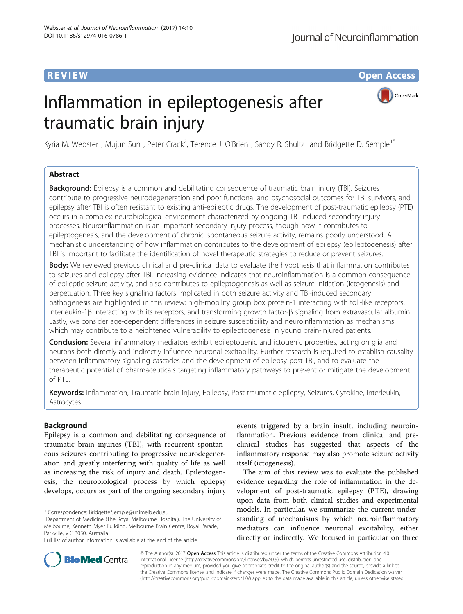**REVIEW CONSTRUCTION CONSTRUCTION CONSTRUCTS** 

# Inflammation in epileptogenesis after traumatic brain injury



Kyria M. Webster<sup>1</sup>, Mujun Sun<sup>1</sup>, Peter Crack<sup>2</sup>, Terence J. O'Brien<sup>1</sup>, Sandy R. Shultz<sup>1</sup> and Bridgette D. Semple<sup>1\*</sup>

# Abstract

**Background:** Epilepsy is a common and debilitating consequence of traumatic brain injury (TBI). Seizures contribute to progressive neurodegeneration and poor functional and psychosocial outcomes for TBI survivors, and epilepsy after TBI is often resistant to existing anti-epileptic drugs. The development of post-traumatic epilepsy (PTE) occurs in a complex neurobiological environment characterized by ongoing TBI-induced secondary injury processes. Neuroinflammation is an important secondary injury process, though how it contributes to epileptogenesis, and the development of chronic, spontaneous seizure activity, remains poorly understood. A mechanistic understanding of how inflammation contributes to the development of epilepsy (epileptogenesis) after TBI is important to facilitate the identification of novel therapeutic strategies to reduce or prevent seizures.

Body: We reviewed previous clinical and pre-clinical data to evaluate the hypothesis that inflammation contributes to seizures and epilepsy after TBI. Increasing evidence indicates that neuroinflammation is a common consequence of epileptic seizure activity, and also contributes to epileptogenesis as well as seizure initiation (ictogenesis) and perpetuation. Three key signaling factors implicated in both seizure activity and TBI-induced secondary pathogenesis are highlighted in this review: high-mobility group box protein-1 interacting with toll-like receptors, interleukin-1β interacting with its receptors, and transforming growth factor-β signaling from extravascular albumin. Lastly, we consider age-dependent differences in seizure susceptibility and neuroinflammation as mechanisms which may contribute to a heightened vulnerability to epileptogenesis in young brain-injured patients.

Conclusion: Several inflammatory mediators exhibit epileptogenic and ictogenic properties, acting on glia and neurons both directly and indirectly influence neuronal excitability. Further research is required to establish causality between inflammatory signaling cascades and the development of epilepsy post-TBI, and to evaluate the therapeutic potential of pharmaceuticals targeting inflammatory pathways to prevent or mitigate the development of PTE.

Keywords: Inflammation, Traumatic brain injury, Epilepsy, Post-traumatic epilepsy, Seizures, Cytokine, Interleukin, Astrocytes

# Background

Epilepsy is a common and debilitating consequence of traumatic brain injuries (TBI), with recurrent spontaneous seizures contributing to progressive neurodegeneration and greatly interfering with quality of life as well as increasing the risk of injury and death. Epileptogenesis, the neurobiological process by which epilepsy develops, occurs as part of the ongoing secondary injury

events triggered by a brain insult, including neuroinflammation. Previous evidence from clinical and preclinical studies has suggested that aspects of the inflammatory response may also promote seizure activity itself (ictogenesis).

The aim of this review was to evaluate the published evidence regarding the role of inflammation in the development of post-traumatic epilepsy (PTE), drawing upon data from both clinical studies and experimental models. In particular, we summarize the current understanding of mechanisms by which neuroinflammatory mediators can influence neuronal excitability, either directly or indirectly. We focused in particular on three



© The Author(s). 2017 **Open Access** This article is distributed under the terms of the Creative Commons Attribution 4.0 International License [\(http://creativecommons.org/licenses/by/4.0/](http://creativecommons.org/licenses/by/4.0/)), which permits unrestricted use, distribution, and reproduction in any medium, provided you give appropriate credit to the original author(s) and the source, provide a link to the Creative Commons license, and indicate if changes were made. The Creative Commons Public Domain Dedication waiver [\(http://creativecommons.org/publicdomain/zero/1.0/](http://creativecommons.org/publicdomain/zero/1.0/)) applies to the data made available in this article, unless otherwise stated.

<sup>\*</sup> Correspondence: [Bridgette.Semple@unimelb.edu.au](mailto:Bridgette.Semple@unimelb.edu.au) <sup>1</sup>

<sup>&</sup>lt;sup>1</sup>Department of Medicine (The Royal Melbourne Hospital), The University of Melbourne, Kenneth Myer Building, Melbourne Brain Centre, Royal Parade, Parkville, VIC 3050, Australia

Full list of author information is available at the end of the article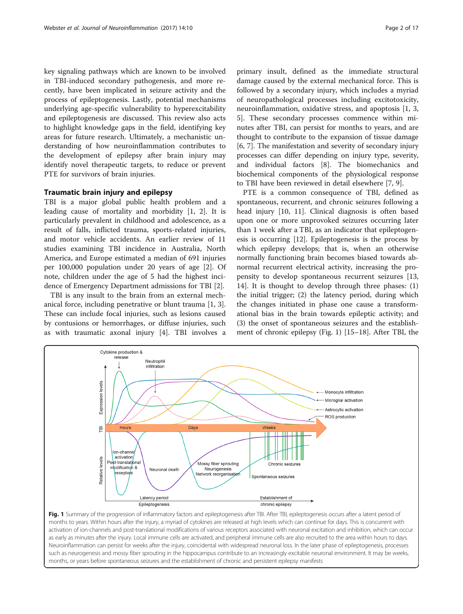key signaling pathways which are known to be involved in TBI-induced secondary pathogenesis, and more recently, have been implicated in seizure activity and the process of epileptogenesis. Lastly, potential mechanisms underlying age-specific vulnerability to hyperexcitability and epileptogenesis are discussed. This review also acts to highlight knowledge gaps in the field, identifying key areas for future research. Ultimately, a mechanistic understanding of how neuroinflammation contributes to the development of epilepsy after brain injury may identify novel therapeutic targets, to reduce or prevent PTE for survivors of brain injuries.

# Traumatic brain injury and epilepsy

TBI is a major global public health problem and a leading cause of mortality and morbidity [\[1](#page-11-0), [2\]](#page-11-0). It is particularly prevalent in childhood and adolescence, as a result of falls, inflicted trauma, sports-related injuries, and motor vehicle accidents. An earlier review of 11 studies examining TBI incidence in Australia, North America, and Europe estimated a median of 691 injuries per 100,000 population under 20 years of age [[2\]](#page-11-0). Of note, children under the age of 5 had the highest incidence of Emergency Department admissions for TBI [[2\]](#page-11-0).

TBI is any insult to the brain from an external mechanical force, including penetrative or blunt trauma [\[1](#page-11-0), [3](#page-11-0)]. These can include focal injuries, such as lesions caused by contusions or hemorrhages, or diffuse injuries, such as with traumatic axonal injury [\[4](#page-11-0)]. TBI involves a

primary insult, defined as the immediate structural damage caused by the external mechanical force. This is followed by a secondary injury, which includes a myriad of neuropathological processes including excitotoxicity, neuroinflammation, oxidative stress, and apoptosis [[1, 3](#page-11-0), [5\]](#page-11-0). These secondary processes commence within minutes after TBI, can persist for months to years, and are thought to contribute to the expansion of tissue damage [[6, 7\]](#page-11-0). The manifestation and severity of secondary injury processes can differ depending on injury type, severity, and individual factors [[8\]](#page-11-0). The biomechanics and

to TBI have been reviewed in detail elsewhere [\[7](#page-11-0), [9](#page-11-0)]. PTE is a common consequence of TBI, defined as spontaneous, recurrent, and chronic seizures following a head injury [\[10](#page-11-0), [11](#page-11-0)]. Clinical diagnosis is often based upon one or more unprovoked seizures occurring later than 1 week after a TBI, as an indicator that epileptogenesis is occurring [[12](#page-11-0)]. Epileptogenesis is the process by which epilepsy develops; that is, when an otherwise normally functioning brain becomes biased towards abnormal recurrent electrical activity, increasing the propensity to develop spontaneous recurrent seizures [[13](#page-11-0), [14\]](#page-11-0). It is thought to develop through three phases: (1) the initial trigger; (2) the latency period, during which the changes initiated in phase one cause a transformational bias in the brain towards epileptic activity; and (3) the onset of spontaneous seizures and the establishment of chronic epilepsy (Fig. 1) [\[15](#page-11-0)–[18\]](#page-11-0). After TBI, the

biochemical components of the physiological response



months to years. Within hours after the injury, a myriad of cytokines are released at high levels which can continue for days. This is concurrent with activation of ion-channels and post-translational modifications of various receptors associated with neuronal excitation and inhibition, which can occur as early as minutes after the injury. Local immune cells are activated, and peripheral immune cells are also recruited to the area within hours to days. Neuroinflammation can persist for weeks after the injury, coincidental with widespread neuronal loss. In the later phase of epileptogenesis, processes such as neurogenesis and mossy fiber sprouting in the hippocampus contribute to an increasingly excitable neuronal environment. It may be weeks, months, or years before spontaneous seizures and the establishment of chronic and persistent epilepsy manifests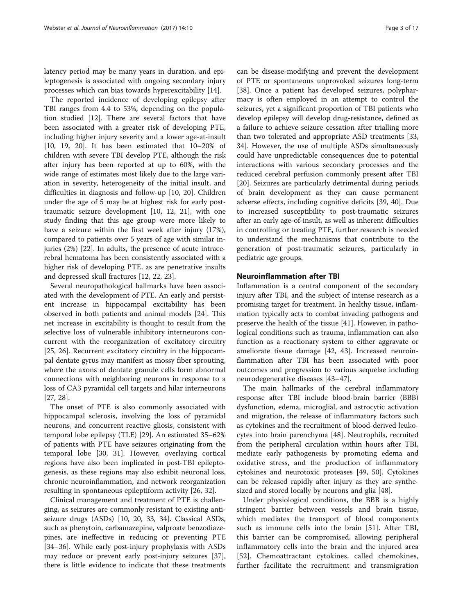latency period may be many years in duration, and epileptogenesis is associated with ongoing secondary injury processes which can bias towards hyperexcitability [[14\]](#page-11-0).

The reported incidence of developing epilepsy after TBI ranges from 4.4 to 53%, depending on the population studied [[12](#page-11-0)]. There are several factors that have been associated with a greater risk of developing PTE, including higher injury severity and a lower age-at-insult [[10, 19, 20](#page-11-0)]. It has been estimated that 10–20% of children with severe TBI develop PTE, although the risk after injury has been reported at up to 60%, with the wide range of estimates most likely due to the large variation in severity, heterogeneity of the initial insult, and difficulties in diagnosis and follow-up [\[10](#page-11-0), [20\]](#page-11-0). Children under the age of 5 may be at highest risk for early posttraumatic seizure development [[10, 12, 21](#page-11-0)], with one study finding that this age group were more likely to have a seizure within the first week after injury (17%), compared to patients over 5 years of age with similar injuries (2%) [[22\]](#page-11-0). In adults, the presence of acute intracerebral hematoma has been consistently associated with a higher risk of developing PTE, as are penetrative insults and depressed skull fractures [[12](#page-11-0), [22](#page-11-0), [23](#page-11-0)].

Several neuropathological hallmarks have been associated with the development of PTE. An early and persistent increase in hippocampal excitability has been observed in both patients and animal models [[24](#page-11-0)]. This net increase in excitability is thought to result from the selective loss of vulnerable inhibitory interneurons concurrent with the reorganization of excitatory circuitry [[25, 26](#page-11-0)]. Recurrent excitatory circuitry in the hippocampal dentate gyrus may manifest as mossy fiber sprouting, where the axons of dentate granule cells form abnormal connections with neighboring neurons in response to a loss of CA3 pyramidal cell targets and hilar interneurons [[27, 28\]](#page-11-0).

The onset of PTE is also commonly associated with hippocampal sclerosis, involving the loss of pyramidal neurons, and concurrent reactive gliosis, consistent with temporal lobe epilepsy (TLE) [\[29](#page-11-0)]. An estimated 35–62% of patients with PTE have seizures originating from the temporal lobe [[30, 31](#page-11-0)]. However, overlaying cortical regions have also been implicated in post-TBI epileptogenesis, as these regions may also exhibit neuronal loss, chronic neuroinflammation, and network reorganization resulting in spontaneous epileptiform activity [\[26](#page-11-0), [32](#page-11-0)].

Clinical management and treatment of PTE is challenging, as seizures are commonly resistant to existing antiseizure drugs (ASDs) [[10, 20](#page-11-0), [33](#page-11-0), [34](#page-11-0)]. Classical ASDs, such as phenytoin, carbamazepine, valproate benzodiazepines, are ineffective in reducing or preventing PTE [[34](#page-11-0)–[36](#page-11-0)]. While early post-injury prophylaxis with ASDs may reduce or prevent early post-injury seizures [\[37](#page-11-0)], there is little evidence to indicate that these treatments

can be disease-modifying and prevent the development of PTE or spontaneous unprovoked seizures long-term [[38\]](#page-11-0). Once a patient has developed seizures, polypharmacy is often employed in an attempt to control the seizures, yet a significant proportion of TBI patients who develop epilepsy will develop drug-resistance, defined as a failure to achieve seizure cessation after trialling more than two tolerated and appropriate ASD treatments [[33](#page-11-0), [34\]](#page-11-0). However, the use of multiple ASDs simultaneously could have unpredictable consequences due to potential interactions with various secondary processes and the reduced cerebral perfusion commonly present after TBI [[20\]](#page-11-0). Seizures are particularly detrimental during periods of brain development as they can cause permanent adverse effects, including cognitive deficits [[39, 40\]](#page-11-0). Due to increased susceptibility to post-traumatic seizures after an early age-of-insult, as well as inherent difficulties in controlling or treating PTE, further research is needed to understand the mechanisms that contribute to the generation of post-traumatic seizures, particularly in pediatric age groups.

#### Neuroinflammation after TBI

Inflammation is a central component of the secondary injury after TBI, and the subject of intense research as a promising target for treatment. In healthy tissue, inflammation typically acts to combat invading pathogens and preserve the health of the tissue [[41\]](#page-11-0). However, in pathological conditions such as trauma, inflammation can also function as a reactionary system to either aggravate or ameliorate tissue damage [[42, 43](#page-11-0)]. Increased neuroinflammation after TBI has been associated with poor outcomes and progression to various sequelae including neurodegenerative diseases [\[43](#page-11-0)–[47\]](#page-12-0).

The main hallmarks of the cerebral inflammatory response after TBI include blood-brain barrier (BBB) dysfunction, edema, microglial, and astrocytic activation and migration, the release of inflammatory factors such as cytokines and the recruitment of blood-derived leukocytes into brain parenchyma [[48\]](#page-12-0). Neutrophils, recruited from the peripheral circulation within hours after TBI, mediate early pathogenesis by promoting edema and oxidative stress, and the production of inflammatory cytokines and neurotoxic proteases [[49, 50](#page-12-0)]. Cytokines can be released rapidly after injury as they are synthesized and stored locally by neurons and glia [[48\]](#page-12-0).

Under physiological conditions, the BBB is a highly stringent barrier between vessels and brain tissue, which mediates the transport of blood components such as immune cells into the brain [[51\]](#page-12-0). After TBI, this barrier can be compromised, allowing peripheral inflammatory cells into the brain and the injured area [[52\]](#page-12-0). Chemoattractant cytokines, called chemokines, further facilitate the recruitment and transmigration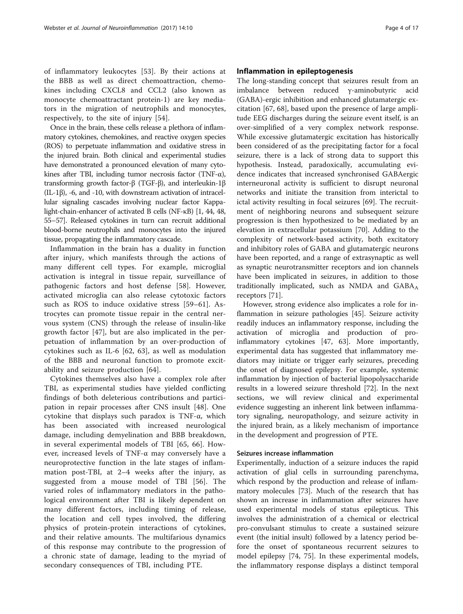of inflammatory leukocytes [[53\]](#page-12-0). By their actions at the BBB as well as direct chemoattraction, chemokines including CXCL8 and CCL2 (also known as monocyte chemoattractant protein-1) are key mediators in the migration of neutrophils and monocytes, respectively, to the site of injury [[54\]](#page-12-0).

Once in the brain, these cells release a plethora of inflammatory cytokines, chemokines, and reactive oxygen species (ROS) to perpetuate inflammation and oxidative stress in the injured brain. Both clinical and experimental studies have demonstrated a pronounced elevation of many cytokines after TBI, including tumor necrosis factor (TNF-α), transforming growth factor-β (TGF-β), and interleukin-1β (IL-1β), -6, and -10, with downstream activation of intracellular signaling cascades involving nuclear factor Kappalight-chain-enhancer of activated B cells (NF-κB) [\[1, 44](#page-11-0), [48](#page-12-0), [55](#page-12-0)–[57](#page-12-0)]. Released cytokines in turn can recruit additional blood-borne neutrophils and monocytes into the injured tissue, propagating the inflammatory cascade.

Inflammation in the brain has a duality in function after injury, which manifests through the actions of many different cell types. For example, microglial activation is integral in tissue repair, surveillance of pathogenic factors and host defense [[58\]](#page-12-0). However, activated microglia can also release cytotoxic factors such as ROS to induce oxidative stress [\[59](#page-12-0)–[61](#page-12-0)]. Astrocytes can promote tissue repair in the central nervous system (CNS) through the release of insulin-like growth factor [[47\]](#page-12-0), but are also implicated in the perpetuation of inflammation by an over-production of cytokines such as IL-6 [[62, 63](#page-12-0)], as well as modulation of the BBB and neuronal function to promote excitability and seizure production [\[64](#page-12-0)].

Cytokines themselves also have a complex role after TBI, as experimental studies have yielded conflicting findings of both deleterious contributions and participation in repair processes after CNS insult [[48\]](#page-12-0). One cytokine that displays such paradox is TNF-α, which has been associated with increased neurological damage, including demyelination and BBB breakdown, in several experimental models of TBI [[65, 66](#page-12-0)]. However, increased levels of TNF-α may conversely have a neuroprotective function in the late stages of inflammation post-TBI, at 2–4 weeks after the injury, as suggested from a mouse model of TBI [[56\]](#page-12-0). The varied roles of inflammatory mediators in the pathological environment after TBI is likely dependent on many different factors, including timing of release, the location and cell types involved, the differing physics of protein-protein interactions of cytokines, and their relative amounts. The multifarious dynamics of this response may contribute to the progression of a chronic state of damage, leading to the myriad of secondary consequences of TBI, including PTE.

# Inflammation in epileptogenesis

The long-standing concept that seizures result from an imbalance between reduced γ-aminobutyric acid (GABA)-ergic inhibition and enhanced glutamatergic excitation [[67](#page-12-0), [68](#page-12-0)], based upon the presence of large amplitude EEG discharges during the seizure event itself, is an over-simplified of a very complex network response. While excessive glutamatergic excitation has historically been considered of as the precipitating factor for a focal seizure, there is a lack of strong data to support this hypothesis. Instead, paradoxically, accumulating evidence indicates that increased synchronised GABAergic interneuronal activity is sufficient to disrupt neuronal networks and initiate the transition from interictal to ictal activity resulting in focal seizures [[69\]](#page-12-0). The recruitment of neighboring neurons and subsequent seizure progression is then hypothesized to be mediated by an elevation in extracellular potassium [\[70](#page-12-0)]. Adding to the complexity of network-based activity, both excitatory and inhibitory roles of GABA and glutamatergic neurons have been reported, and a range of extrasynaptic as well as synaptic neurotransmitter receptors and ion channels have been implicated in seizures, in addition to those traditionally implicated, such as NMDA and  $GABA_A$ receptors [[71\]](#page-12-0).

However, strong evidence also implicates a role for inflammation in seizure pathologies [[45](#page-11-0)]. Seizure activity readily induces an inflammatory response, including the activation of microglia and production of proinflammatory cytokines [\[47](#page-12-0), [63\]](#page-12-0). More importantly, experimental data has suggested that inflammatory mediators may initiate or trigger early seizures, preceding the onset of diagnosed epilepsy. For example, systemic inflammation by injection of bacterial lipopolysaccharide results in a lowered seizure threshold [\[72](#page-12-0)]. In the next sections, we will review clinical and experimental evidence suggesting an inherent link between inflammatory signaling, neuropathology, and seizure activity in the injured brain, as a likely mechanism of importance in the development and progression of PTE.

# Seizures increase inflammation

Experimentally, induction of a seizure induces the rapid activation of glial cells in surrounding parenchyma, which respond by the production and release of inflammatory molecules [[73\]](#page-12-0). Much of the research that has shown an increase in inflammation after seizures have used experimental models of status epilepticus. This involves the administration of a chemical or electrical pro-convulsant stimulus to create a sustained seizure event (the initial insult) followed by a latency period before the onset of spontaneous recurrent seizures to model epilepsy [[74, 75\]](#page-12-0). In these experimental models, the inflammatory response displays a distinct temporal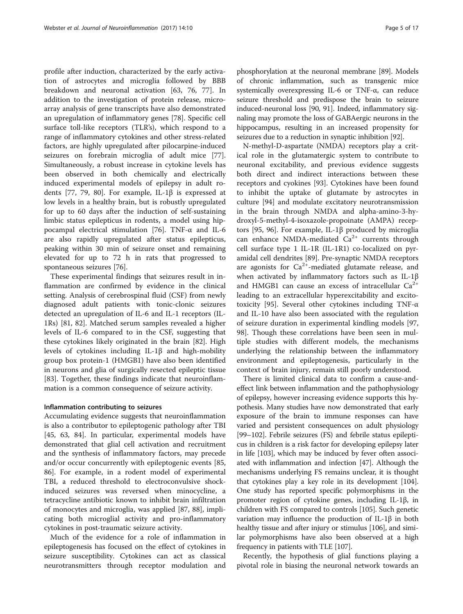profile after induction, characterized by the early activation of astrocytes and microglia followed by BBB breakdown and neuronal activation [[63, 76](#page-12-0), [77\]](#page-12-0). In addition to the investigation of protein release, microarray analysis of gene transcripts have also demonstrated an upregulation of inflammatory genes [\[78](#page-12-0)]. Specific cell surface toll-like receptors (TLR's), which respond to a range of inflammatory cytokines and other stress-related factors, are highly upregulated after pilocarpine-induced seizures on forebrain microglia of adult mice [\[77](#page-12-0)]. Simultaneously, a robust increase in cytokine levels has been observed in both chemically and electrically induced experimental models of epilepsy in adult ro-dents [[77, 79](#page-12-0), [80](#page-12-0)]. For example, IL-1 $\beta$  is expressed at low levels in a healthy brain, but is robustly upregulated for up to 60 days after the induction of self-sustaining limbic status epilepticus in rodents, a model using hippocampal electrical stimulation [[76](#page-12-0)]. TNF-α and IL-6 are also rapidly upregulated after status epilepticus, peaking within 30 min of seizure onset and remaining elevated for up to 72 h in rats that progressed to spontaneous seizures [\[76\]](#page-12-0).

These experimental findings that seizures result in inflammation are confirmed by evidence in the clinical setting. Analysis of cerebrospinal fluid (CSF) from newly diagnosed adult patients with tonic-clonic seizures detected an upregulation of IL-6 and IL-1 receptors (IL-1Rs) [\[81](#page-12-0), [82\]](#page-12-0). Matched serum samples revealed a higher levels of IL-6 compared to in the CSF, suggesting that these cytokines likely originated in the brain [\[82](#page-12-0)]. High levels of cytokines including IL-1β and high-mobility group box protein-1 (HMGB1) have also been identified in neurons and glia of surgically resected epileptic tissue [[83\]](#page-12-0). Together, these findings indicate that neuroinflammation is a common consequence of seizure activity.

#### Inflammation contributing to seizures

Accumulating evidence suggests that neuroinflammation is also a contributor to epileptogenic pathology after TBI [[45,](#page-11-0) [63, 84](#page-12-0)]. In particular, experimental models have demonstrated that glial cell activation and recruitment and the synthesis of inflammatory factors, may precede and/or occur concurrently with epileptogenic events [[85](#page-12-0), [86\]](#page-12-0). For example, in a rodent model of experimental TBI, a reduced threshold to electroconvulsive shockinduced seizures was reversed when minocycline, a tetracycline antibiotic known to inhibit brain infiltration of monocytes and microglia, was applied [\[87, 88](#page-12-0)], implicating both microglial activity and pro-inflammatory cytokines in post-traumatic seizure activity.

Much of the evidence for a role of inflammation in epileptogenesis has focused on the effect of cytokines in seizure susceptibility. Cytokines can act as classical neurotransmitters through receptor modulation and

phosphorylation at the neuronal membrane [\[89\]](#page-12-0). Models of chronic inflammation, such as transgenic mice systemically overexpressing IL-6 or TNF-α, can reduce seizure threshold and predispose the brain to seizure induced-neuronal loss [[90](#page-12-0), [91](#page-12-0)]. Indeed, inflammatory signaling may promote the loss of GABAergic neurons in the hippocampus, resulting in an increased propensity for seizures due to a reduction in synaptic inhibition [\[92\]](#page-12-0).

N-methyl-D-aspartate (NMDA) receptors play a critical role in the glutamatergic system to contribute to neuronal excitability, and previous evidence suggests both direct and indirect interactions between these receptors and cyokines [[93\]](#page-12-0). Cytokines have been found to inhibit the uptake of glutamate by astrocytes in culture [[94](#page-12-0)] and modulate excitatory neurotransmission in the brain through NMDA and alpha-amino-3-hydroxyl-5-methyl-4-isoxazole-propoinate (AMPA) receptors [\[95](#page-13-0), [96\]](#page-13-0). For example, IL-1β produced by microglia can enhance NMDA-mediated  $Ca^{2+}$  currents through cell surface type 1 IL-1R (IL-1R1) co-localized on pyramidal cell dendrites [[89\]](#page-12-0). Pre-synaptic NMDA receptors are agonists for  $Ca^{2+}$ -mediated glutamate release, and when activated by inflammatory factors such as IL-1β and HMGB1 can cause an excess of intracellular  $Ca^{2+}$ leading to an extracellular hyperexcitability and excitotoxicity [\[95\]](#page-13-0). Several other cytokines including TNF-α and IL-10 have also been associated with the regulation of seizure duration in experimental kindling models [[97](#page-13-0), [98\]](#page-13-0). Though these correlations have been seen in multiple studies with different models, the mechanisms underlying the relationship between the inflammatory environment and epileptogenesis, particularly in the context of brain injury, remain still poorly understood.

There is limited clinical data to confirm a cause-andeffect link between inflammation and the pathophysiology of epilepsy, however increasing evidence supports this hypothesis. Many studies have now demonstrated that early exposure of the brain to immune responses can have varied and persistent consequences on adult physiology [[99](#page-13-0)–[102\]](#page-13-0). Febrile seizures (FS) and febrile status epilepticus in children is a risk factor for developing epilepsy later in life [\[103\]](#page-13-0), which may be induced by fever often associated with inflammation and infection [[47](#page-12-0)]. Although the mechanisms underlying FS remains unclear, it is thought that cytokines play a key role in its development [[104](#page-13-0)]. One study has reported specific polymorphisms in the promoter region of cytokine genes, including IL-1β, in children with FS compared to controls [\[105\]](#page-13-0). Such genetic variation may influence the production of IL-1β in both healthy tissue and after injury or stimulus [\[106\]](#page-13-0), and similar polymorphisms have also been observed at a high frequency in patients with TLE [[107](#page-13-0)].

Recently, the hypothesis of glial functions playing a pivotal role in biasing the neuronal network towards an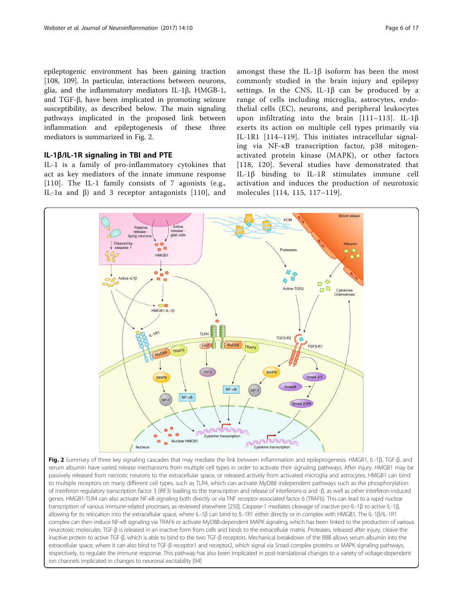epileptogenic environment has been gaining traction [[108, 109\]](#page-13-0). In particular, interactions between neurons, glia, and the inflammatory mediators IL-1β, HMGB-1, and TGF-β, have been implicated in promoting seizure susceptibility, as described below. The main signaling pathways implicated in the proposed link between inflammation and epileptogenesis of these three mediators is summarized in Fig. 2.

# IL-1β/IL-1R signaling in TBI and PTE

IL-1 is a family of pro-inflammatory cytokines that act as key mediators of the innate immune response [[110](#page-13-0)]. The IL-1 family consists of 7 agonists (e.g., IL-1α and β) and 3 receptor antagonists [[110](#page-13-0)], and

amongst these the IL-1β isoform has been the most commonly studied in the brain injury and epilepsy settings. In the CNS, IL-1β can be produced by a range of cells including microglia, astrocytes, endothelial cells (EC), neurons, and peripheral leukocytes upon infiltrating into the brain [[111](#page-13-0)–[113](#page-13-0)]. IL-1β exerts its action on multiple cell types primarily via IL-1R1 [[114](#page-13-0)–[119](#page-13-0)]. This initiates intracellular signaling via NF-κB transcription factor, p38 mitogenactivated protein kinase (MAPK), or other factors [[118](#page-13-0), [120](#page-13-0)]. Several studies have demonstrated that IL-1β binding to IL-1R stimulates immune cell activation and induces the production of neurotoxic molecules [[114, 115](#page-13-0), [117](#page-13-0)–[119](#page-13-0)].



Fig. 2 Summary of three key signaling cascades that may mediate the link between inflammation and epileptogenesis. HMGB1, IL-1β, TGF-β, and serum albumin have varied release mechanisms from multiple cell types in order to activate their signaling pathways. After injury, HMGB1 may be passively released from necrotic neurons to the extracellular space, or released actively from activated microglia and astrocytes. HMGB1 can bind to multiple receptors on many different cell types, such as TLR4, which can activate MyD88 independent pathways such as the phosphorylation of interferon regulatory transcription factor 3 (IRF3) leading to the transcription and release of interferons-α and -β, as well as other interferon-induced genes. HMGB1-TLR4 can also activate NF-κB signaling both directly or via TNF receptor-associated factor 6 (TRAF6). This can lead to a rapid nuclear transcription of various immune-related processes, as reviewed elsewhere [\[250\]](#page-16-0). Caspase-1 mediates cleavage of inactive pro-IL-1β to active IL-1β, allowing for its relocation into the extracellular space, where IL-1β can bind to IL-1R1 either directly or in complex with HMGB1. The IL-1β/IL-1R1 complex can then induce NF-κB signaling via TRAF6 or activate MyD88-dependent MAPK signaling, which has been linked to the production of various neurotoxic molecules. TGF-β is released in an inactive form from cells and binds to the extracellular matrix. Proteases, released after injury, cleave the inactive protein to active TGF-β, which is able to bind to the two TGF-β receptors. Mechanical breakdown of the BBB allows serum albumin into the extracellular space, where it can also bind to TGF-β receptor1 and receptor2, which signal via Smad complex proteins or MAPK signaling pathways, respectively, to regulate the immune response. This pathway has also been implicated in post-translational changes to a variety of voltage-dependent ion channels implicated in changes to neuronal excitability [\[94](#page-12-0)]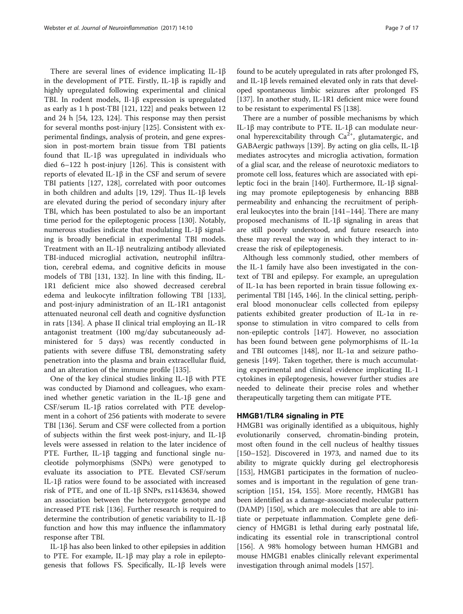There are several lines of evidence implicating IL-1β in the development of PTE. Firstly, IL-1β is rapidly and highly upregulated following experimental and clinical TBI. In rodent models, Il-1β expression is upregulated as early as 1 h post-TBI [[121](#page-13-0), [122](#page-13-0)] and peaks between 12 and 24 h [[54,](#page-12-0) [123](#page-13-0), [124\]](#page-13-0). This response may then persist for several months post-injury [\[125\]](#page-13-0). Consistent with experimental findings, analysis of protein, and gene expression in post-mortem brain tissue from TBI patients found that IL-1β was upregulated in individuals who died 6–122 h post-injury [[126\]](#page-13-0). This is consistent with reports of elevated IL-1β in the CSF and serum of severe TBI patients [[127, 128](#page-13-0)], correlated with poor outcomes in both children and adults [\[19,](#page-11-0) [129\]](#page-13-0). Thus IL-1β levels are elevated during the period of secondary injury after TBI, which has been postulated to also be an important time period for the epileptogenic process [[130\]](#page-13-0). Notably, numerous studies indicate that modulating IL-1β signaling is broadly beneficial in experimental TBI models. Treatment with an IL-1β neutralizing antibody alleviated TBI-induced microglial activation, neutrophil infiltration, cerebral edema, and cognitive deficits in mouse models of TBI [\[131, 132\]](#page-13-0). In line with this finding, IL-1R1 deficient mice also showed decreased cerebral edema and leukocyte infiltration following TBI [\[133](#page-13-0)], and post-injury administration of an IL-1R1 antagonist attenuated neuronal cell death and cognitive dysfunction in rats [[134\]](#page-13-0). A phase II clinical trial employing an IL-1R antagonist treatment (100 mg/day subcutaneously administered for 5 days) was recently conducted in patients with severe diffuse TBI, demonstrating safety penetration into the plasma and brain extracellular fluid, and an alteration of the immune profile [\[135](#page-13-0)].

One of the key clinical studies linking IL-1β with PTE was conducted by Diamond and colleagues, who examined whether genetic variation in the IL-1β gene and CSF/serum IL-1β ratios correlated with PTE development in a cohort of 256 patients with moderate to severe TBI [\[136](#page-13-0)]. Serum and CSF were collected from a portion of subjects within the first week post-injury, and IL-1β levels were assessed in relation to the later incidence of PTE. Further, IL-1β tagging and functional single nucleotide polymorphisms (SNPs) were genotyped to evaluate its association to PTE. Elevated CSF/serum IL-1β ratios were found to be associated with increased risk of PTE, and one of IL-1β SNPs, rs1143634, showed an association between the heterozygote genotype and increased PTE risk [[136](#page-13-0)]. Further research is required to determine the contribution of genetic variability to IL-1β function and how this may influence the inflammatory response after TBI.

IL-1β has also been linked to other epilepsies in addition to PTE. For example, IL-1β may play a role in epileptogenesis that follows FS. Specifically, IL-1β levels were found to be acutely upregulated in rats after prolonged FS, and IL-1β levels remained elevated only in rats that developed spontaneous limbic seizures after prolonged FS [[137](#page-13-0)]. In another study, IL-1R1 deficient mice were found to be resistant to experimental FS [[138](#page-13-0)].

There are a number of possible mechanisms by which IL-1β may contribute to PTE. IL-1β can modulate neuronal hyperexcitability through  $Ca^{2+}$ , glutamatergic, and GABAergic pathways [\[139\]](#page-13-0). By acting on glia cells, IL-1β mediates astrocytes and microglia activation, formation of a glial scar, and the release of neurotoxic mediators to promote cell loss, features which are associated with epileptic foci in the brain [[140](#page-13-0)]. Furthermore, IL-1β signaling may promote epileptogenesis by enhancing BBB permeability and enhancing the recruitment of peripheral leukocytes into the brain [\[141](#page-13-0)–[144\]](#page-14-0). There are many proposed mechanisms of IL-1β signaling in areas that are still poorly understood, and future research into these may reveal the way in which they interact to increase the risk of epileptogenesis.

Although less commonly studied, other members of the IL-1 family have also been investigated in the context of TBI and epilepsy. For example, an upregulation of IL-1 $\alpha$  has been reported in brain tissue following experimental TBI [[145](#page-14-0), [146](#page-14-0)]. In the clinical setting, peripheral blood mononuclear cells collected from epilepsy patients exhibited greater production of IL-1α in response to stimulation in vitro compared to cells from non-epileptic controls [\[147\]](#page-14-0). However, no association has been found between gene polymorphisms of IL-1α and TBI outcomes [[148](#page-14-0)], nor IL-1 $\alpha$  and seizure pathogenesis [[149](#page-14-0)]. Taken together, there is much accumulating experimental and clinical evidence implicating IL-1 cytokines in epileptogenesis, however further studies are needed to delineate their precise roles and whether therapeutically targeting them can mitigate PTE.

# HMGB1/TLR4 signaling in PTE

HMGB1 was originally identified as a ubiquitous, highly evolutionarily conserved, chromatin-binding protein, most often found in the cell nucleus of healthy tissues [[150](#page-14-0)–[152](#page-14-0)]. Discovered in 1973, and named due to its ability to migrate quickly during gel electrophoresis [[153\]](#page-14-0), HMGB1 participates in the formation of nucleosomes and is important in the regulation of gene transcription [[151, 154, 155\]](#page-14-0). More recently, HMGB1 has been identified as a damage-associated molecular pattern (DAMP) [\[150](#page-14-0)], which are molecules that are able to initiate or perpetuate inflammation. Complete gene deficiency of HMGB1 is lethal during early postnatal life, indicating its essential role in transcriptional control [[156\]](#page-14-0). A 98% homology between human HMGB1 and mouse HMGB1 enables clinically relevant experimental investigation through animal models [[157](#page-14-0)].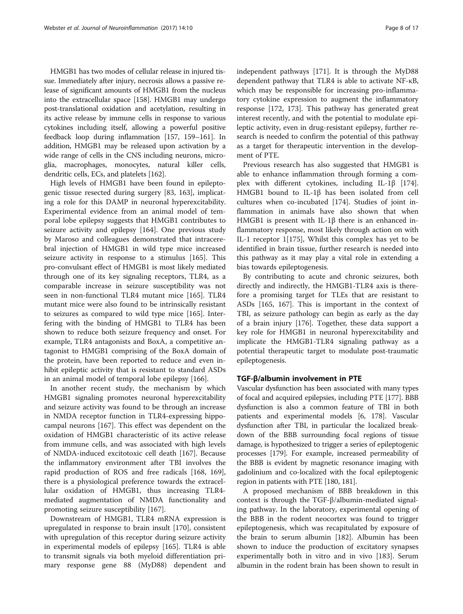HMGB1 has two modes of cellular release in injured tissue. Immediately after injury, necrosis allows a passive release of significant amounts of HMGB1 from the nucleus into the extracellular space [[158](#page-14-0)]. HMGB1 may undergo post-translational oxidation and acetylation, resulting in its active release by immune cells in response to various cytokines including itself, allowing a powerful positive feedback loop during inflammation [[157](#page-14-0), [159](#page-14-0)–[161](#page-14-0)]. In addition, HMGB1 may be released upon activation by a wide range of cells in the CNS including neurons, microglia, macrophages, monocytes, natural killer cells, dendritic cells, ECs, and platelets [\[162](#page-14-0)].

High levels of HMGB1 have been found in epileptogenic tissue resected during surgery [\[83](#page-12-0), [163\]](#page-14-0), implicating a role for this DAMP in neuronal hyperexcitability. Experimental evidence from an animal model of temporal lobe epilepsy suggests that HMGB1 contributes to seizure activity and epilepsy [[164\]](#page-14-0). One previous study by Maroso and colleagues demonstrated that intracerebral injection of HMGB1 in wild type mice increased seizure activity in response to a stimulus [[165\]](#page-14-0). This pro-convulsant effect of HMGB1 is most likely mediated through one of its key signaling receptors, TLR4, as a comparable increase in seizure susceptibility was not seen in non-functional TLR4 mutant mice [\[165](#page-14-0)]. TLR4 mutant mice were also found to be intrinsically resistant to seizures as compared to wild type mice [\[165\]](#page-14-0). Interfering with the binding of HMGB1 to TLR4 has been shown to reduce both seizure frequency and onset. For example, TLR4 antagonists and BoxA, a competitive antagonist to HMGB1 comprising of the BoxA domain of the protein, have been reported to reduce and even inhibit epileptic activity that is resistant to standard ASDs in an animal model of temporal lobe epilepsy [[166](#page-14-0)].

In another recent study, the mechanism by which HMGB1 signaling promotes neuronal hyperexcitability and seizure activity was found to be through an increase in NMDA receptor function in TLR4-expressing hippocampal neurons [[167\]](#page-14-0). This effect was dependent on the oxidation of HMGB1 characteristic of its active release from immune cells, and was associated with high levels of NMDA-induced excitotoxic cell death [\[167\]](#page-14-0). Because the inflammatory environment after TBI involves the rapid production of ROS and free radicals [[168](#page-14-0), [169](#page-14-0)], there is a physiological preference towards the extracellular oxidation of HMGB1, thus increasing TLR4 mediated augmentation of NMDA functionality and promoting seizure susceptibility [\[167\]](#page-14-0).

Downstream of HMGB1, TLR4 mRNA expression is upregulated in response to brain insult [[170](#page-14-0)], consistent with upregulation of this receptor during seizure activity in experimental models of epilepsy [[165\]](#page-14-0). TLR4 is able to transmit signals via both myeloid differentiation primary response gene 88 (MyD88) dependent and independent pathways [[171\]](#page-14-0). It is through the MyD88 dependent pathway that TLR4 is able to activate NF-κB, which may be responsible for increasing pro-inflammatory cytokine expression to augment the inflammatory response [\[172](#page-14-0), [173\]](#page-14-0). This pathway has generated great interest recently, and with the potential to modulate epileptic activity, even in drug-resistant epilepsy, further research is needed to confirm the potential of this pathway as a target for therapeutic intervention in the development of PTE.

Previous research has also suggested that HMGB1 is able to enhance inflammation through forming a complex with different cytokines, including IL-1β [[174](#page-14-0)]. HMGB1 bound to IL-1β has been isolated from cell cultures when co-incubated [[174](#page-14-0)]. Studies of joint inflammation in animals have also shown that when HMGB1 is present with IL-1β there is an enhanced inflammatory response, most likely through action on with IL-1 receptor 1[[175\]](#page-14-0), Whilst this complex has yet to be identified in brain tissue, further research is needed into this pathway as it may play a vital role in extending a bias towards epileptogenesis.

By contributing to acute and chronic seizures, both directly and indirectly, the HMGB1-TLR4 axis is therefore a promising target for TLEs that are resistant to ASDs [[165, 167\]](#page-14-0). This is important in the context of TBI, as seizure pathology can begin as early as the day of a brain injury [\[176\]](#page-14-0). Together, these data support a key role for HMGB1 in neuronal hyperexcitability and implicate the HMGB1-TLR4 signaling pathway as a potential therapeutic target to modulate post-traumatic epileptogenesis.

#### TGF-β/albumin involvement in PTE

Vascular dysfunction has been associated with many types of focal and acquired epilepsies, including PTE [[177](#page-14-0)]. BBB dysfunction is also a common feature of TBI in both patients and experimental models [[6](#page-11-0), [178](#page-14-0)]. Vascular dysfunction after TBI, in particular the localized breakdown of the BBB surrounding focal regions of tissue damage, is hypothesized to trigger a series of epileptogenic processes [\[179](#page-14-0)]. For example, increased permeability of the BBB is evident by magnetic resonance imaging with gadolinium and co-localized with the focal epileptogenic region in patients with PTE [[180](#page-14-0), [181](#page-14-0)].

A proposed mechanism of BBB breakdown in this context is through the TGF-β/albumin-mediated signaling pathway. In the laboratory, experimental opening of the BBB in the rodent neocortex was found to trigger epileptogenesis, which was recapitulated by exposure of the brain to serum albumin [\[182](#page-14-0)]. Albumin has been shown to induce the production of excitatory synapses experimentally both in vitro and in vivo [\[183\]](#page-14-0). Serum albumin in the rodent brain has been shown to result in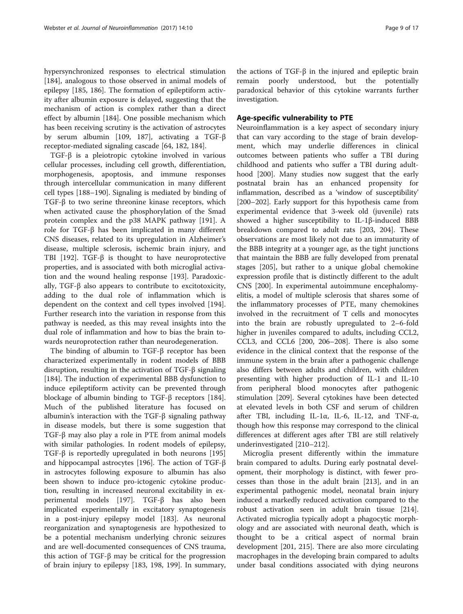hypersynchronized responses to electrical stimulation [[184\]](#page-14-0), analogous to those observed in animal models of epilepsy [[185, 186\]](#page-14-0). The formation of epileptiform activity after albumin exposure is delayed, suggesting that the mechanism of action is complex rather than a direct effect by albumin [\[184](#page-14-0)]. One possible mechanism which has been receiving scrutiny is the activation of astrocytes by serum albumin [[109](#page-13-0), [187](#page-14-0)], activating a TGF-β receptor-mediated signaling cascade [[64,](#page-12-0) [182, 184](#page-14-0)].

TGF-β is a pleiotropic cytokine involved in various cellular processes, including cell growth, differentiation, morphogenesis, apoptosis, and immune responses through intercellular communication in many different cell types [\[188](#page-14-0)–[190](#page-14-0)]. Signaling is mediated by binding of TGF-β to two serine threonine kinase receptors, which when activated cause the phosphorylation of the Smad protein complex and the p38 MAPK pathway [\[191\]](#page-14-0). A role for TGF-β has been implicated in many different CNS diseases, related to its upregulation in Alzheimer's disease, multiple sclerosis, ischemic brain injury, and TBI [[192\]](#page-15-0). TGF-β is thought to have neuroprotective properties, and is associated with both microglial activation and the wound healing response [[193](#page-15-0)]. Paradoxically, TGF-β also appears to contribute to excitotoxicity, adding to the dual role of inflammation which is dependent on the context and cell types involved [\[194](#page-15-0)]. Further research into the variation in response from this pathway is needed, as this may reveal insights into the dual role of inflammation and how to bias the brain towards neuroprotection rather than neurodegeneration.

The binding of albumin to TGF-β receptor has been characterized experimentally in rodent models of BBB disruption, resulting in the activation of TGF-β signaling [[184\]](#page-14-0). The induction of experimental BBB dysfunction to induce epileptiform activity can be prevented through blockage of albumin binding to TGF-β receptors [\[184](#page-14-0)]. Much of the published literature has focused on albumin's interaction with the TGF-β signaling pathway in disease models, but there is some suggestion that TGF-β may also play a role in PTE from animal models with similar pathologies. In rodent models of epilepsy, TGF-β is reportedly upregulated in both neurons [[195](#page-15-0)] and hippocampal astrocytes [[196\]](#page-15-0). The action of TGF-β in astrocytes following exposure to albumin has also been shown to induce pro-ictogenic cytokine production, resulting in increased neuronal excitability in experimental models [\[197](#page-15-0)]. TGF-β has also been implicated experimentally in excitatory synaptogenesis in a post-injury epilepsy model [\[183](#page-14-0)]. As neuronal reorganization and synaptogenesis are hypothesized to be a potential mechanism underlying chronic seizures and are well-documented consequences of CNS trauma, this action of TGF-β may be critical for the progression of brain injury to epilepsy [[183,](#page-14-0) [198](#page-15-0), [199\]](#page-15-0). In summary,

the actions of TGF-β in the injured and epileptic brain remain poorly understood, but the potentially paradoxical behavior of this cytokine warrants further investigation.

# Age-specific vulnerability to PTE

Neuroinflammation is a key aspect of secondary injury that can vary according to the stage of brain development, which may underlie differences in clinical outcomes between patients who suffer a TBI during childhood and patients who suffer a TBI during adulthood [[200\]](#page-15-0). Many studies now suggest that the early postnatal brain has an enhanced propensity for inflammation, described as a 'window of susceptibility' [[200](#page-15-0)–[202](#page-15-0)]. Early support for this hypothesis came from experimental evidence that 3-week old (juvenile) rats showed a higher susceptibility to IL-1β-induced BBB breakdown compared to adult rats [[203, 204](#page-15-0)]. These observations are most likely not due to an immaturity of the BBB integrity at a younger age, as the tight junctions that maintain the BBB are fully developed from prenatal stages [[205\]](#page-15-0), but rather to a unique global chemokine expression profile that is distinctly different to the adult CNS [\[200\]](#page-15-0). In experimental autoimmune encephalomyelitis, a model of multiple sclerosis that shares some of the inflammatory processes of PTE, many chemokines involved in the recruitment of T cells and monocytes into the brain are robustly upregulated to 2–6-fold higher in juveniles compared to adults, including CCL2, CCL3, and CCL6 [[200](#page-15-0), [206](#page-15-0)–[208](#page-15-0)]. There is also some evidence in the clinical context that the response of the immune system in the brain after a pathogenic challenge also differs between adults and children, with children presenting with higher production of IL-1 and IL-10 from peripheral blood monocytes after pathogenic stimulation [\[209\]](#page-15-0). Several cytokines have been detected at elevated levels in both CSF and serum of children after TBI, including IL-1α, IL-6, IL-12, and TNF-α, though how this response may correspond to the clinical differences at different ages after TBI are still relatively underinvestigated [\[210](#page-15-0)–[212\]](#page-15-0).

Microglia present differently within the immature brain compared to adults. During early postnatal development, their morphology is distinct, with fewer processes than those in the adult brain [\[213](#page-15-0)], and in an experimental pathogenic model, neonatal brain injury induced a markedly reduced activation compared to the robust activation seen in adult brain tissue [[214](#page-15-0)]. Activated microglia typically adopt a phagocytic morphology and are associated with neuronal death, which is thought to be a critical aspect of normal brain development [[201, 215\]](#page-15-0). There are also more circulating macrophages in the developing brain compared to adults under basal conditions associated with dying neurons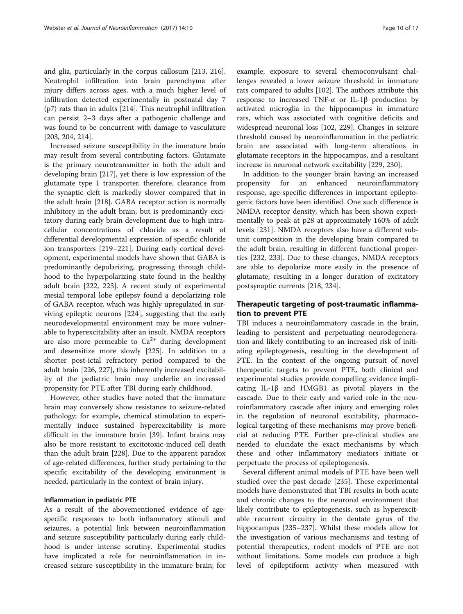and glia, particularly in the corpus callosum [[213](#page-15-0), [216](#page-15-0)]. Neutrophil infiltration into brain parenchyma after injury differs across ages, with a much higher level of infiltration detected experimentally in postnatal day 7 (p7) rats than in adults [\[214\]](#page-15-0). This neutrophil infiltration can persist 2–3 days after a pathogenic challenge and was found to be concurrent with damage to vasculature [[203, 204](#page-15-0), [214](#page-15-0)].

Increased seizure susceptibility in the immature brain may result from several contributing factors. Glutamate is the primary neurotransmitter in both the adult and developing brain [\[217\]](#page-15-0), yet there is low expression of the glutamate type 1 transporter, therefore, clearance from the synaptic cleft is markedly slower compared that in the adult brain [[218](#page-15-0)]. GABA receptor action is normally inhibitory in the adult brain, but is predominantly excitatory during early brain development due to high intracellular concentrations of chloride as a result of differential developmental expression of specific chloride ion transporters [[219](#page-15-0)–[221\]](#page-15-0). During early cortical development, experimental models have shown that GABA is predominantly depolarizing, progressing through childhood to the hyperpolarizing state found in the healthy adult brain [[222](#page-15-0), [223\]](#page-15-0). A recent study of experimental mesial temporal lobe epilepsy found a depolarizing role of GABA receptor, which was highly upregulated in surviving epileptic neurons [[224](#page-15-0)], suggesting that the early neurodevelopmental environment may be more vulnerable to hyperexcitability after an insult. NMDA receptors are also more permeable to  $Ca^{2+}$  during development and desensitize more slowly [\[225](#page-15-0)]. In addition to a shorter post-ictal refractory period compared to the adult brain [\[226](#page-15-0), [227\]](#page-15-0), this inherently increased excitability of the pediatric brain may underlie an increased propensity for PTE after TBI during early childhood.

However, other studies have noted that the immature brain may conversely show resistance to seizure-related pathology; for example, chemical stimulation to experimentally induce sustained hyperexcitability is more difficult in the immature brain [[39](#page-11-0)]. Infant brains may also be more resistant to excitotoxic-induced cell death than the adult brain [[228](#page-15-0)]. Due to the apparent paradox of age-related differences, further study pertaining to the specific excitability of the developing environment is needed, particularly in the context of brain injury.

#### Inflammation in pediatric PTE

As a result of the abovementioned evidence of agespecific responses to both inflammatory stimuli and seizures, a potential link between neuroinflammation and seizure susceptibility particularly during early childhood is under intense scrutiny. Experimental studies have implicated a role for neuroinflammation in increased seizure susceptibility in the immature brain; for

example, exposure to several chemoconvulsant challenges revealed a lower seizure threshold in immature rats compared to adults [\[102\]](#page-13-0). The authors attribute this response to increased TNF-α or IL-1β production by activated microglia in the hippocampus in immature rats, which was associated with cognitive deficits and widespread neuronal loss [\[102,](#page-13-0) [229](#page-15-0)]. Changes in seizure threshold caused by neuroinflammation in the pediatric brain are associated with long-term alterations in glutamate receptors in the hippocampus, and a resultant increase in neuronal network excitability [[229](#page-15-0), [230](#page-15-0)].

In addition to the younger brain having an increased propensity for an enhanced neuroinflammatory response, age-specific differences in important epileptogenic factors have been identified. One such difference is NMDA receptor density, which has been shown experimentally to peak at p28 at approximately 160% of adult levels [[231](#page-15-0)]. NMDA receptors also have a different subunit composition in the developing brain compared to the adult brain, resulting in different functional properties [[232](#page-15-0), [233\]](#page-15-0). Due to these changes, NMDA receptors are able to depolarize more easily in the presence of glutamate, resulting in a longer duration of excitatory postsynaptic currents [\[218](#page-15-0), [234\]](#page-15-0).

# Therapeutic targeting of post-traumatic inflammation to prevent PTE

TBI induces a neuroinflammatory cascade in the brain, leading to persistent and perpetuating neurodegeneration and likely contributing to an increased risk of initiating epileptogenesis, resulting in the development of PTE. In the context of the ongoing pursuit of novel therapeutic targets to prevent PTE, both clinical and experimental studies provide compelling evidence implicating IL-1β and HMGB1 as pivotal players in the cascade. Due to their early and varied role in the neuroinflammatory cascade after injury and emerging roles in the regulation of neuronal excitability, pharmacological targeting of these mechanisms may prove beneficial at reducing PTE. Further pre-clinical studies are needed to elucidate the exact mechanisms by which these and other inflammatory mediators initiate or perpetuate the process of epileptogenesis.

Several different animal models of PTE have been well studied over the past decade [[235\]](#page-15-0). These experimental models have demonstrated that TBI results in both acute and chronic changes to the neuronal environment that likely contribute to epileptogenesis, such as hyperexcitable recurrent circuitry in the dentate gyrus of the hippocampus [[235](#page-15-0)–[237](#page-15-0)]. Whilst these models allow for the investigation of various mechanisms and testing of potential therapeutics, rodent models of PTE are not without limitations. Some models can produce a high level of epileptiform activity when measured with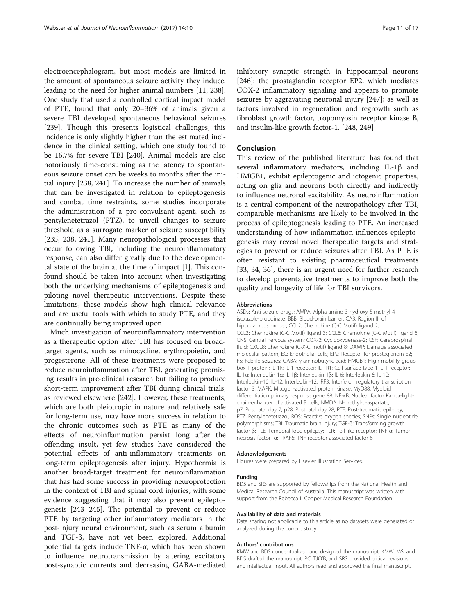electroencephalogram, but most models are limited in the amount of spontaneous seizure activity they induce, leading to the need for higher animal numbers [\[11](#page-11-0), [238](#page-15-0)]. One study that used a controlled cortical impact model of PTE, found that only 20–36% of animals given a severe TBI developed spontaneous behavioral seizures [[239\]](#page-16-0). Though this presents logistical challenges, this incidence is only slightly higher than the estimated incidence in the clinical setting, which one study found to be 16.7% for severe TBI [\[240\]](#page-16-0). Animal models are also notoriously time-consuming as the latency to spontaneous seizure onset can be weeks to months after the initial injury [[238](#page-15-0), [241](#page-16-0)]. To increase the number of animals that can be investigated in relation to epileptogenesis and combat time restraints, some studies incorporate the administration of a pro-convulsant agent, such as pentylenetetrazol (PTZ), to unveil changes to seizure threshold as a surrogate marker of seizure susceptibility [[235, 238,](#page-15-0) [241\]](#page-16-0). Many neuropathological processes that occur following TBI, including the neuroinflammatory response, can also differ greatly due to the developmental state of the brain at the time of impact [\[1](#page-11-0)]. This confound should be taken into account when investigating both the underlying mechanisms of epileptogenesis and piloting novel therapeutic interventions. Despite these limitations, these models show high clinical relevance and are useful tools with which to study PTE, and they are continually being improved upon.

Much investigation of neuroinflammatory intervention as a therapeutic option after TBI has focused on broadtarget agents, such as minocycline, erythropoietin, and progesterone. All of these treatments were proposed to reduce neuroinflammation after TBI, generating promising results in pre-clinical research but failing to produce short-term improvement after TBI during clinical trials, as reviewed elsewhere [[242](#page-16-0)]. However, these treatments, which are both pleiotropic in nature and relatively safe for long-term use, may have more success in relation to the chronic outcomes such as PTE as many of the effects of neuroinflammation persist long after the offending insult, yet few studies have considered the potential effects of anti-inflammatory treatments on long-term epileptogenesis after injury. Hypothermia is another broad-target treatment for neuroinflammation that has had some success in providing neuroprotection in the context of TBI and spinal cord injuries, with some evidence suggesting that it may also prevent epileptogenesis [[243](#page-16-0)–[245](#page-16-0)]. The potential to prevent or reduce PTE by targeting other inflammatory mediators in the post-injury neural environment, such as serum albumin and TGF-β, have not yet been explored. Additional potential targets include TNF-α, which has been shown to influence neurotransmission by altering excitatory post-synaptic currents and decreasing GABA-mediated

inhibitory synaptic strength in hippocampal neurons [[246\]](#page-16-0); the prostaglandin receptor EP2, which mediates COX-2 inflammatory signaling and appears to promote seizures by aggravating neuronal injury [[247](#page-16-0)]; as well as factors involved in regeneration and regrowth such as fibroblast growth factor, tropomyosin receptor kinase B, and insulin-like growth factor-1. [\[248, 249\]](#page-16-0)

# Conclusion

This review of the published literature has found that several inflammatory mediators, including IL-1β and HMGB1, exhibit epileptogenic and ictogenic properties, acting on glia and neurons both directly and indirectly to influence neuronal excitability. As neuroinflammation is a central component of the neuropathology after TBI, comparable mechanisms are likely to be involved in the process of epileptogenesis leading to PTE. An increased understanding of how inflammation influences epileptogenesis may reveal novel therapeutic targets and strategies to prevent or reduce seizures after TBI. As PTE is often resistant to existing pharmaceutical treatments [[33, 34](#page-11-0), [36](#page-11-0)], there is an urgent need for further research to develop preventative treatments to improve both the quality and longevity of life for TBI survivors.

#### Abbreviations

ASDs: Anti-seizure drugs; AMPA: Alpha-amino-3-hydroxy-5-methyl-4 isoxazole-propoinate; BBB: Blood-brain barrier; CA3: Region III of hippocampus proper; CCL2: Chemokine (C-C Motif) ligand 2; CCL3: Chemokine (C-C Motif) ligand 3; CCL6: Chemokine (C-C Motif) ligand 6; CNS: Central nervous system; COX-2: Cyclooxygenase-2; CSF: Cerebrospinal fluid; CXCL8: Chemokine (C-X-C motif) ligand 8; DAMP: Damage associated molecular pattern; EC: Endothelial cells; EP2: Receptor for prostaglandin E2; FS: Febrile seizures; GABA: γ-aminobutyric acid; HMGB1: High mobility group box 1 protein; IL-1R: IL-1 receptor; IL-1R1: Cell surface type 1 IL-1 receptor; IL-1α: Interleukin-1α; IL-1β: Interleukin-1β; IL-6: Interleukin-6; IL-10: Interleukin-10; IL-12: Interleukin-12; IRF3: Interferon regulatory transcription factor 3; MAPK: Mitogen-activated protein kinase; MyD88: Myeloid differentiation primary response gene 88; NF-κB: Nuclear factor Kappa-lightchain-enhancer of activated B cells; NMDA: N-methyl-d-aspartate; p7: Postnatal day 7; p28: Postnatal day 28; PTE: Post-traumatic epilepsy; PTZ: Pentylenetetrazol; ROS: Reactive oxygen species; SNPs: Single nucleotide polymorphisms; TBI: Traumatic brain injury; TGF-β: Transforming growth factor-β; TLE: Temporal lobe epilepsy; TLR: Toll-like receptor; TNF-α: Tumor necrosis factor- α; TRAF6: TNF receptor associated factor 6

#### Acknowledgements

Figures were prepared by Elsevier Illustration Services.

#### Funding

BDS and SRS are supported by fellowships from the National Health and Medical Research Council of Australia. This manuscript was written with support from the Rebecca L Cooper Medical Research Foundation.

#### Availability of data and materials

Data sharing not applicable to this article as no datasets were generated or analyzed during the current study.

#### Authors' contributions

KMW and BDS conceptualized and designed the manuscript; KMW, MS, and BDS drafted the manuscript; PC, TJO'B, and SRS provided critical revisions and intellectual input. All authors read and approved the final manuscript.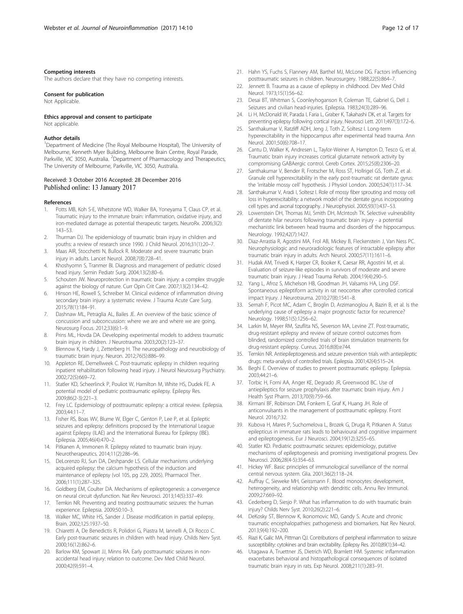#### <span id="page-11-0"></span>Competing interests

The authors declare that they have no competing interests.

#### Consent for publication

Not Applicable.

# Ethics approval and consent to participate

Not applicable.

#### Author details

<sup>1</sup>Department of Medicine (The Royal Melbourne Hospital), The University of Melbourne, Kenneth Myer Building, Melbourne Brain Centre, Royal Parade, Parkville, VIC 3050, Australia. <sup>2</sup>Department of Pharmacology and Therapeutics, The University of Melbourne, Parkville, VIC 3050, Australia.

#### Received: 3 October 2016 Accepted: 28 December 2016 Published online: 13 January 2017

#### References

- 1. Potts MB, Koh S-E, Whetstone WD, Walker BA, Yoneyama T, Claus CP, et al. Traumatic injury to the immature brain: inflammation, oxidative injury, and iron-mediated damage as potential therapeutic targets. NeuroRx. 2006;3(2): 143–53.
- 2. Thurman DJ. The epidemiology of traumatic brain injury in children and youths: a review of research since 1990. J Child Neurol. 2016;31(1):20–7.
- 3. Maas AIR, Stocchetti N, Bullock R. Moderate and severe traumatic brain injury in adults. Lancet Neurol. 2008;7(8):728–41.
- 4. Khoshyomn S, Tranmer BI. Diagnosis and management of pediatric closed head injury. Semin Pediatr Surg. 2004;13(2):80–6.
- 5. Schouten JW. Neuroprotection in traumatic brain injury: a complex struggle against the biology of nature. Curr Opin Crit Care. 2007;13(2):134–42.
- 6. Hinson HE, Rowell S, Schreiber M. Clinical evidence of inflammation driving secondary brain injury: a systematic review. J Trauma Acute Care Surg. 2015;78(1):184–91.
- 7. Dashnaw ML, Petraglia AL, Bailes JE. An overview of the basic science of concussion and subconcussion: where we are and where we are going. Neurosurg Focus. 2012;33(6):1–9.
- 8. Prins ML, Hovda DA. Developing experimental models to address traumatic brain injury in children. J Neurotrauma. 2003;20(2):123–37.
- 9. Blennow K, Hardy J, Zetterberg H. The neuropathology and neurobiology of traumatic brain injury. Neuron. 2012;76(5):886–99.
- 10. Appleton RE, Demellweek C. Post-traumatic epilepsy in children requiring inpatient rehabilitation following head injury. J Neurol Neurosurg Psychiatry. 2002;72(5):669–72.
- 11. Statler KD, Scheerlinck P, Pouliot W, Hamilton M, White HS, Dudek FE. A potential model of pediatric posttraumatic epilepsy. Epilepsy Res. 2009;86(2-3):221–3.
- 12. Frey LC. Epidemiology of posttraumatic epilepsy: a critical review. Epilepsia. 2003;44:11–7.
- 13. Fisher RS, Boas WV, Blume W, Elger C, Genton P, Lee P, et al. Epileptic seizures and epilepsy: definitions proposed by the International League against Epilepsy (ILAE) and the International Bureau for Epilepsy (IBE). Epilepsia. 2005;46(4):470–2.
- 14. Pitkanen A, Immonen R. Epilepsy related to traumatic brain injury. Neurotherapeutics. 2014;11(2):286–96.
- 15. DeLorenzo RJ, Sun DA, Deshpande LS. Cellular mechanisms underlying acquired epilepsy: the calcium hypothesis of the induction and maintenance of epilepsy (vol 105, pg 229, 2005). Pharmacol Ther. 2006;111(1):287–325.
- 16. Goldberg EM, Coulter DA. Mechanisms of epileptogenesis: a convergence on neural circuit dysfunction. Nat Rev Neurosci. 2013;14(5):337–49.
- 17. Temkin NR. Preventing and treating posttraumatic seizures: the human experience. Epilepsia. 2009;50:10–3.
- 18. Walker MC, White HS, Sander J. Disease modification in partial epilepsy. Brain. 2002;125:1937–50.
- 19. Chiaretti A, De Benedictis R, Polidori G, Piastra M, Iannelli A, Di Rocco C. Early post-traumatic seizures in children with head injury. Childs Nerv Syst. 2000;16(12):862–6.
- 20. Barlow KM, Spowart JJ, Minns RA. Early posttraumatic seizures in nonaccidental head injury: relation to outcome. Dev Med Child Neurol. 2000;42(9):591–4.
- 21. Hahn YS, Fuchs S, Flannery AM, Barthel MJ, McLone DG. Factors influencing posttraumatic seizures in children. Neurosurgery. 1988;22(5):864–7.
- 22. Jennett B. Trauma as a cause of epilepsy in childhood. Dev Med Child Neurol. 1973;15(1):56–62.
- 23. Desai BT, Whitman S, Coonleyhoganson R, Coleman TE, Gabriel G, Dell J. Seizures and civilian head-injuries. Epilepsia. 1983;24(3):289–96.
- 24. Li H, McDonald W, Parada I, Faria L, Graber K, Takahashi DK, et al. Targets for preventing epilepsy following cortical injury. Neurosci Lett. 2011;497(3):172–6.
- 25. Santhakumar V, Ratzliff ADH, Jeng J, Toth Z, Soltesz I. Long-term hyperexcitability in the hippocampus after experimental head trauma. Ann Neurol. 2001;50(6):708–17.
- 26. Cantu D, Walker K, Andresen L, Taylor-Weiner A, Hampton D, Tesco G, et al. Traumatic brain injury increases cortical glutamate network activity by compromising GABAergic control. Cereb Cortex. 2015;25(8):2306–20.
- 27. Santhakumar V, Bender R, Frotscher M, Ross ST, Hollrigel GS, Toth Z, et al. Granule cell hyperexcitability in the early post-traumatic rat dentate gyrus: the 'irritable mossy cell' hypothesis. J Physiol London. 2000;524(1):117–34.
- 28. Santhakumar V, Aradi I, Soltesz I. Role of mossy fiber sprouting and mossy cell loss in hyperexcitability: a network model of the dentate gyrus incorporating cell types and axonal topography. J Neurophysiol. 2005;93(1):437–53.
- 29. Lowenstein DH, Thomas MJ, Smith DH, McIntosh TK, Selective vulnerability of dentate hilar neurons following traumatic brain injury - a potential mechanistic link between head trauma and disorders of the hippocampus. Neurology. 1992;42(7):1427.
- 30. Diaz-Arrastia R, Agostini MA, Frol AB, Mickey B, Fleckenstein J, Van Ness PC. Neurophysiologic and neuroradiologic features of intractable epilepsy after traumatic brain injury in adults. Arch Neurol. 2000;57(11):1611–6.
- 31. Hudak AM, Trivedi K, Harper CR, Booker K, Caesar RR, Agostini M, et al. Evaluation of seizure-like episodes in survivors of moderate and severe traumatic brain injury. J Head Trauma Rehab. 2004;19(4):290–5.
- 32. Yang L, Afroz S, Michelson HB, Goodman JH, Valsamis HA, Ling DSF. Spontaneous epileptiform activity in rat neocortex after controlled cortical impact Injury. J Neurotrauma. 2010;27(8):1541–8.
- 33. Semah F, Picot MC, Adam C, Broglin D, Arzimanoglou A, Bazin B, et al. Is the underlying cause of epilepsy a major prognostic factor for recurrence? Neurology. 1998;51(5):1256–62.
- 34. Larkin M, Meyer RM, Szuflita NS, Severson MA, Levine ZT. Post-traumatic, drug-resistant epilepsy and review of seizure control outcomes from blinded, randomized controlled trials of brain stimulation treatments for drug-resistant epilepsy. Cureus. 2016;8(8):e744.
- 35. Temkin NR. Antiepileptogenesis and seizure prevention trials with antiepileptic drugs: meta-analysis of controlled trials. Epilepsia. 2001;42(4):515–24.
- 36. Beghi E. Overview of studies to prevent posttraumatic epilepsy. Epilepsia. 2003;44:21–6.
- 37. Torbic H, Forni AA, Anger KE, Degrado JR, Greenwood BC. Use of antiepileptics for seizure prophylaxis after traumatic brain injury. Am J Health Syst Pharm. 2013;70(9):759–66.
- 38. Kirmani BF, Robinson DM, Fonkem E, Graf K, Huang JH. Role of anticonvulsants in the management of posttraumatic epilepsy. Front Neurol. 2016;7:32.
- 39. Kubova H, Mares P, Suchomelova L, Brozek G, Druga R, Pitkanen A. Status epilepticus in immature rats leads to behavioural and cognitive impairment and epileptogenesis. Eur J Neurosci. 2004;19(12):3255–65.
- 40. Statler KD. Pediatric posttraumatic seizures: epidemiology, putative mechanisms of epileptogenesis and promising investigational progress. Dev Neurosci. 2006;28(4-5):354–63.
- 41. Hickey WF. Basic principles of immunological surveillance of the normal central nervous system. Glia. 2001;36(2):118–24.
- 42. Auffray C, Sieweke MH, Geissmann F. Blood monocytes: development, heterogeneity, and relationship with dendritic cells. Annu Rev Immunol. 2009;27:669–92.
- 43. Cederberg D, Siesjo P. What has inflammation to do with traumatic brain injury? Childs Nerv Syst. 2010;26(2):221–6.
- 44. DeKosky ST, Blennow K, Ikonomovic MD, Gandy S. Acute and chronic traumatic encephalopathies: pathogenesis and biomarkers. Nat Rev Neurol. 2013;9(4):192–200.
- 45. Riazi K, Galic MA, Pittman QJ. Contributions of peripheral inflammation to seizure susceptibility: cytokines and brain excitability. Epilepsy Res. 2010;89(1):34–42.
- 46. Utagawa A, Truettner JS, Dietrich WD, Bramlett HM. Systemic inflammation exacerbates behavioral and histopathological consequences of isolated traumatic brain injury in rats. Exp Neurol. 2008;211(1):283–91.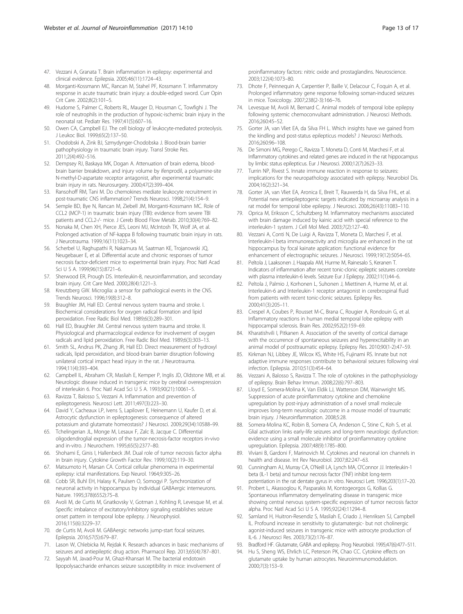- <span id="page-12-0"></span>47. Vezzani A, Granata T. Brain inflammation in epilepsy: experimental and clinical evidence. Epilepsia. 2005;46(11):1724–43.
- 48. Morganti-Kossmann MC, Rancan M, Stahel PF, Kossmann T. Inflammatory response in acute traumatic brain injury: a double-edged sword. Curr Opin Crit Care. 2002;8(2):101–5.
- 49. Hudome S, Palmer C, Roberts RL, Mauger D, Housman C, Towfighi J. The role of neutrophils in the production of hypoxic-ischemic brain injury in the neonatal rat. Pediatr Res. 1997;41(5):607–16.
- 50. Owen CA, Campbell EJ. The cell biology of leukocyte-mediated proteolysis. J Leukoc Biol. 1999;65(2):137–50.
- 51. Chodobski A, Zink BJ, Szmydynger-Chodobska J. Blood-brain barrier pathophysiology in traumatic brain injury. Transl Stroke Res. 2011;2(4):492–516.
- 52. Dempsey RJ, Baskaya MK, Dogan A. Attenuation of brain edema, bloodbrain barrier breakdown, and injury volume by ifenprodil, a polyamine-site N-methyl-D-aspartate receptor antagonist, after experimental traumatic brain injury in rats. Neurosurgery. 2000;47(2):399–404.
- 53. Ransohoff RM, Tani M. Do chemokines mediate leukocyte recruitment in post-traumatic CNS inflammation? Trends Neurosci. 1998;21(4):154–9.
- 54. Semple BD, Bye N, Rancan M, Ziebell JM, Morganti-Kossmann MC. Role of CCL2 (MCP-1) in traumatic brain injury (TBI): evidence from severe TBI patients and CCL2-/- mice. J Cereb Blood Flow Metab. 2010;30(4):769–82.
- 55. Nonaka M, Chen XH, Pierce JES, Leoni MJ, McIntosh TK, Wolf JA, et al. Prolonged activation of NF-kappa B following traumatic brain injury in rats. J Neurotrauma. 1999;16(11):1023–34.
- 56. Scherbel U, Raghupathi R, Nakamura M, Saatman KE, Trojanowski JQ, Neugebauer E, et al. Differential acute and chronic responses of tumor necrosis factor-deficient mice to experimental brain injury. Proc Natl Acad Sci U S A. 1999;96(15):8721–6.
- 57. Sherwood ER, Prough DS. Interleukin-8, neuroinflammation, and secondary brain injury. Crit Care Med. 2000;28(4):1221–3.
- 58. Kreutzberg GW. Microglia: a sensor for pathological events in the CNS. Trends Neurosci. 1996;19(8):312–8.
- 59. Braughler JM, Hall ED. Central nervous system trauma and stroke. I. Biochemical considerations for oxygen radical formation and lipid peroxidation. Free Radic Biol Med. 1989;6(3):289–301.
- 60. Hall ED, Braughler JM. Central nervous system trauma and stroke. II. Physiological and pharmacological evidence for involvement of oxygen radicals and lipid peroxidation. Free Radic Biol Med. 1989;6(3):303–13.
- 61. Smith SL, Andrus PK, Zhang JR, Hall ED. Direct measurement of hydroxyl radicals, lipid peroxidation, and blood-brain barrier disruption following unilateral cortical impact head injury in the rat. J Neurotrauma. 1994;11(4):393–404.
- 62. Campbell IL, Abraham CR, Masliah E, Kemper P, Inglis JD, Oldstone MB, et al. Neurologic disease induced in transgenic mice by cerebral overexpression of interleukin 6. Proc Natl Acad Sci U S A. 1993;90(21):10061–5.
- Ravizza T, Balosso S, Vezzani A. Inflammation and prevention of epileptogenesis. Neurosci Lett. 2011;497(3):223–30.
- 64. David Y, Cacheaux LP, Ivens S, Lapilover E, Heinemann U, Kaufer D, et al. Astrocytic dysfunction in epileptogenesis: consequence of altered potassium and glutamate homeostasis? J Neurosci. 2009;29(34):10588–99.
- 65. Tchelingerian JL, Monge M, Lesaux F, Zalc B, Jacque C. Differential oligodendroglial expression of the tumor-necrosis-factor receptors in-vivo and in-vitro. J Neurochem. 1995;65(5):2377–80.
- 66. Shohami E, Ginis I, Hallenbeck JM. Dual role of tumor necrosis factor alpha in brain injury. Cytokine Growth Factor Rev. 1999;10(2):119–30.
- 67. Matsumoto H, Marsan CA. Cortical cellular phenomena in experimental epilepsy: ictal manifestations. Exp Neurol. 1964;9:305–26.
- 68. Cobb SR, Buhl EH, Halasy K, Paulsen O, Somogyi P. Synchronization of neuronal activity in hippocampus by individual GABAergic interneurons. Nature. 1995;378(6552):75–8.
- 69. Avoli M, de Curtis M, Gnatkovsky V, Gotman J, Kohling R, Levesque M, et al. Specific imbalance of excitatory/inhibitory signaling establishes seizure onset pattern in temporal lobe epilepsy. J Neurophysiol. 2016;115(6):3229–37.
- 70. de Curtis M, Avoli M. GABAergic networks jump-start focal seizures. Epilepsia. 2016;57(5):679–87.
- 71. Lason W, Chlebicka M, Rejdak K. Research advances in basic mechanisms of seizures and antiepileptic drug action. Pharmacol Rep. 2013;65(4):787–801.
- 72. Sayyah M, Javad-Pour M, Ghazi-Khansari M. The bacterial endotoxin lipopolysaccharide enhances seizure susceptibility in mice: involvement of

proinflammatory factors: nitric oxide and prostaglandins. Neuroscience. 2003;122(4):1073–80.

- 73. Dhote F, Peinnequin A, Carpentier P, Baille V, Delacour C, Foquin A, et al. Prolonged inflammatory gene response following soman-induced seizures in mice. Toxicology. 2007;238(2-3):166–76.
- 74. Levesque M, Avoli M, Bernard C. Animal models of temporal lobe epilepsy following systemic chemoconvulsant administration. J Neurosci Methods. 2016;260:45–52.
- 75. Gorter JA, van Vliet EA, da Silva FH L. Which insights have we gained from the kindling and post-status epilepticus models? J Neurosci Methods. 2016;260:96–108.
- 76. De Simoni MG, Perego C, Ravizza T, Moneta D, Conti M, Marchesi F, et al. Inflammatory cytokines and related genes are induced in the rat hippocampus by limbic status epilepticus. Eur J Neurosci. 2000;12(7):2623–33.
- 77. Turrin NP, Rivest S. Innate immune reaction in response to seizures: implications for the neuropathology associated with epilepsy. Neurobiol Dis. 2004;16(2):321–34.
- 78. Gorter JA, van Vliet EA, Aronica E, Breit T, Rauwerda H, da Silva FHL, et al. Potential new antiepileptogenic targets indicated by microarray analysis in a rat model for temporal lobe epilepsy. J Neurosci. 2006;26(43):11083–110.
- 79. Oprica M, Eriksson C, Schultzberg M. Inflammatory mechanisms associated with brain damage induced by kainic acid with special reference to the interleukin-1 system. J Cell Mol Med. 2003;7(2):127–40.
- 80. Vezzani A, Conti N, De Luigi A, Ravizza T, Moneta D, Marchesi F, et al. Interleukin-l beta immunoreactivity and microglia are enhanced in the rat hippocampus by focal kainate application: functional evidence for enhancement of electrographic seizures. J Neurosci. 1999;19(12):5054–65.
- 81. Peltola J, Laaksonen J, Haapala AM, Hurme M, Rainesalo S, Keranen T. Indicators of inflammation after recent tonic-clonic epileptic seizures correlate with plasma interleukin-6 levels. Seizure Eur J Epilepsy. 2002;11(1):44–6.
- 82. Peltola J, Palmio J, Korhonen L, Suhonen J, Miettinen A, Hurme M, et al. Interleukin-6 and Interleukin-1 receptor antagonist in cerebrospinal fluid from patients with recent tonic-clonic seizures. Epilepsy Res. 2000;41(3):205–11.
- 83. Crespel A, Coubes P, Rousset M-C, Brana C, Rougier A, Rondouin G, et al. Inflammatory reactions in human medial temporal lobe epilepsy with hippocampal sclerosis. Brain Res. 2002;952(2):159–69.
- 84. Kharatishvili I, Pitkanen A. Association of the severity of cortical damage with the occurrence of spontaneous seizures and hyperexcitability in an animal model of posttraumatic epilepsy. Epilepsy Res. 2010;90(1-2):47–59.
- 85. Kirkman NJ, Libbey JE, Wilcox KS, White HS, Fujinami RS. Innate but not adaptive immune responses contribute to behavioral seizures following viral infection. Epilepsia. 2010;51(3):454–64.
- 86. Vezzani A, Balosso S, Ravizza T. The role of cytokines in the pathophysiology of epilepsy. Brain Behav Immun. 2008;22(6):797–803.
- 87. Lloyd E, Somera-Molina K, Van Eldik LJ, Watterson DM, Wainwright MS. Suppression of acute proinflammatory cytokine and chemokine upregulation by post-injury administration of a novel small molecule improves long-term neurologic outcome in a mouse model of traumatic brain injury. J Neuroinflammation. 2008;5:28.
- 88. Somera-Molina KC, Robin B, Somera CA, Anderson C, Stine C, Koh S, et al. Glial activation links early-life seizures and long-term neurologic dysfunction: evidence using a small molecule inhibitor of proinflammatory cytokine upregulation. Epilepsia. 2007;48(9):1785–800.
- 89. Viviani B, Gardoni F, Marinovich M. Cytokines and neuronal ion channels in health and disease. Int Rev Neurobiol. 2007;82:247–63.
- 90. Cunningham AJ, Murray CA, O'Neill LA, Lynch MA, O'Connor JJ. Interleukin-1 beta (IL-1 beta) and tumour necrosis factor (TNF) inhibit long-term potentiation in the rat dentate gyrus in vitro. Neurosci Lett. 1996;203(1):17–20.
- 91. Probert L, Akassoglou K, Pasparakis M, Kontogeorgos G, Kollias G. Spontaneous inflammatory demyelinating disease in transgenic mice showing central nervous system-specific expression of tumor necrosis factor alpha. Proc Natl Acad Sci U S A. 1995;92(24):11294–8.
- 92. Samland H, Huitron-Resendiz S, Masliah E, Criado J, Henriksen SJ, Campbell IL. Profound increase in sensitivity to glutamatergic- but not cholinergic agonist-induced seizures in transgenic mice with astrocyte production of IL-6. J Neurosci Res. 2003;73(2):176–87.
- 93. Bradford HF. Glutamate, GABA and epilepsy. Prog Neurobiol. 1995;47(6):477–511.
- 94. Hu S, Sheng WS, Ehrlich LC, Peterson PK, Chao CC. Cytokine effects on glutamate uptake by human astrocytes. Neuroimmunomodulation. 2000;7(3):153–9.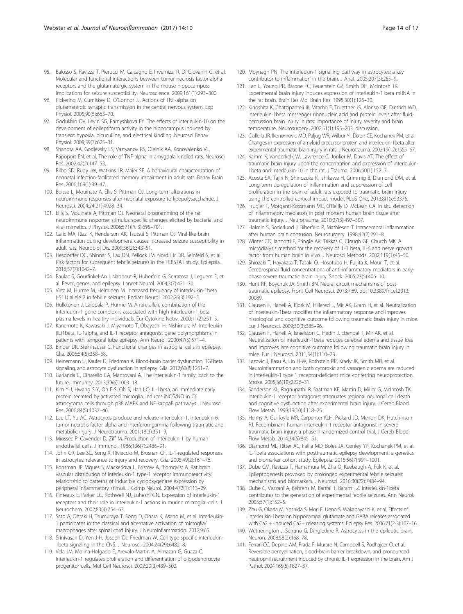- <span id="page-13-0"></span>95. Balosso S, Ravizza T, Pierucci M, Calcagno E, Invernizzi R, Di Giovanni G, et al. Molecular and functional interactions between tumor necrosis factor-alpha receptors and the glutamatergic system in the mouse hippocampus: implications for seizure susceptibility. Neuroscience. 2009;161(1):293–300.
- 96. Pickering M, Cumiskey D, O'Connor JJ. Actions of TNF-alpha on glutamatergic synaptic transmission in the central nervous system. Exp Physiol. 2005;90(5):663–70.
- 97. Godukhin OV, Levin SG, Parnyshkova EY. The effects of interleukin-10 on the development of epileptiform activity in the hippocampus induced by transient hypoxia, bicuculline, and electrical kindling. Neurosci Behav Physiol. 2009;39(7):625–31.
- 98. Shandra AA, Godlevsky LS, Vastyanov RS, Oleinik AA, Konovalenko VL, Rapoport EN, et al. The role of TNF-alpha in amygdala kindled rats. Neurosci Res. 2002;42(2):147–53.
- 99. Bilbo SD, Rudy JW, Watkins LR, Maier SF. A behavioural characterization of neonatal infection-facilitated memory impairment in adult rats. Behav Brain Res. 2006;169(1):39–47.
- 100. Boisse L, Mouihate A, Ellis S, Pittman QJ. Long-term alterations in neuroimmune responses after neonatal exposure to lipopolysaccharide. J Neurosci. 2004;24(21):4928–34.
- 101. Ellis S, Mouihate A, Pittman QJ. Neonatal programming of the rat neuroimmune response: stimulus specific changes elicited by bacterial and viral mimetics. J Physiol. 2006;571(Pt 3):695–701.
- 102. Galic MA, Riazi K, Henderson AK, Tsutsui S, Pittman QJ. Viral-like brain inflammation during development causes increased seizure susceptibility in adult rats. Neurobiol Dis. 2009;36(2):343–51.
- 103. Hesdorffer DC, Shinnar S, Lax DN, Pellock JM, Nordli Jr DR, Seinfeld S, et al. Risk factors for subsequent febrile seizures in the FEBSTAT study. Epilepsia. 2016;57(7):1042–7.
- 104. Baulac S, Gourfinkel-An I, Nabbout R, Huberfeld G, Serratosa J, Leguern E, et al. Fever, genes, and epilepsy. Lancet Neurol. 2004;3(7):421–30.
- 105. Virta M, Hurme M, Helminen M. Increased frequency of interleukin-1beta (-511) allele 2 in febrile seizures. Pediatr Neurol. 2002;26(3):192–5.
- 106. Hulkkonen J, Laippala P, Hurme M. A rare allele combination of the interleukin-1 gene complex is associated with high interleukin-1 beta plasma levels in healthy individuals. Eur Cytokine Netw. 2000;11(2):251–5.
- 107. Kanemoto K, Kawasaki J, Miyamoto T, Obayashi H, Nishimura M. Interleukin (IL)1beta, IL-1alpha, and IL-1 receptor antagonist gene polymorphisms in patients with temporal lobe epilepsy. Ann Neurol. 2000;47(5):571–4.
- 108. Binder DK, Steinhauser C. Functional changes in astroglial cells in epilepsy. Glia. 2006;54(5):358–68.
- 109. Heinemann U, Kaufer D, Friedman A. Blood-brain barrier dysfunction, TGFbeta signaling, and astrocyte dysfunction in epilepsy. Glia. 2012;60(8):1251–7.
- 110. Garlanda C, Dinarello CA, Mantovani A. The interleukin-1 family: back to the future. Immunity. 2013;39(6):1003–18.
- 111. Kim Y-J, Hwang S-Y, Oh E-S, Oh S, Han I-O. IL-1beta, an immediate early protein secreted by activated microglia, induces iNOS/NO in C6 astrocytoma cells through p38 MAPK and NF-kappaB pathways. J Neurosci Res. 2006;84(5):1037–46.
- 112. Lau LT, Yu AC. Astrocytes produce and release interleukin-1, interleukin-6, tumor necrosis factor alpha and interferon-gamma following traumatic and metabolic injury. J Neurotrauma. 2001;18(3):351–9.
- 113. Miossec P, Cavender D, Ziff M. Production of interleukin 1 by human endothelial cells. J Immunol. 1986;136(7):2486–91.
- 114. John GR, Lee SC, Song X, Rivieccio M, Brosnan CF. IL-1-regulated responses in astrocytes: relevance to injury and recovery. Glia. 2005;49(2):161–76.
- 115. Konsman JP, Vigues S, Mackerlova L, Bristow A, Blomqvist A. Rat brain vascular distribution of interleukin-1 type-1 receptor immunoreactivity: relationship to patterns of inducible cyclooxygenase expression by peripheral inflammatory stimuli. J Comp Neurol. 2004;472(1):113–29.
- 116. Pinteaux E, Parker LC, Rothwell NJ, Luheshi GN. Expression of interleukin-1 receptors and their role in interleukin-1 actions in murine microglial cells. J Neurochem. 2002;83(4):754–63.
- 117. Sato A, Ohtaki H, Tsumuraya T, Song D, Ohara K, Asano M, et al. Interleukin-1 participates in the classical and alternative activation of microglia/ macrophages after spinal cord injury. J Neuroinflammation. 2012;9:65.
- 118. Srinivasan D, Yen J-H, Joseph DJ, Friedman W. Cell type-specific interleukin-1beta signaling in the CNS. J Neurosci. 2004;24(29):6482–8.
- 119. Vela JM, Molina-Holgado E, Arevalo-Martin A, Almazan G, Guaza C. Interleukin-1 regulates proliferation and differentiation of oligodendrocyte progenitor cells. Mol Cell Neurosci. 2002;20(3):489–502.
- 120. Moynagh PN. The interleukin-1 signalling pathway in astrocytes: a key contributor to inflammation in the brain. J Anat. 2005;207(3):265–9.
- 121. Fan L, Young PR, Barone FC, Feuerstein GZ, Smith DH, McIntosh TK. Experimental brain injury induces expression of interleukin-1 beta mRNA in the rat brain. Brain Res Mol Brain Res. 1995;30(1):125–30.
- 122. Kinoshita K, Chatzipanteli IK, Vitarbo E, Truettner JS, Alonso OF, Dietrich WD. Interleukin-1beta messenger ribonucleic acid and protein levels after fluidpercussion brain injury in rats: importance of injury severity and brain temperature. Neurosurgery. 2002;51(1):195–203. discussion.
- 123. Ciallella JR, Ikonomovic MD, Paljug WR, Wilbur YI, Dixon CE, Kochanek PM, et al. Changes in expression of amyloid precursor protein and interleukin-1beta after experimental traumatic brain injury in rats. J Neurotrauma. 2002;19(12):1555–67.
- 124. Kamm K, Vanderkolk W, Lawrence C, Jonker M, Davis AT. The effect of traumatic brain injury upon the concentration and expression of interleukin-1beta and interleukin-10 in the rat. J Trauma. 2006;60(1):152–7.
- 125. Acosta SA, Tajiri N, Shinozuka K, Ishikawa H, Grimmig B, Diamond DM, et al. Long-term upregulation of inflammation and suppression of cell proliferation in the brain of adult rats exposed to traumatic brain injury using the controlled cortical impact model. PLoS One. 2013;8(1):e53376.
- 126. Frugier T, Morganti-Kossmann MC, O'Reilly D, McLean CA. In situ detection of inflammatory mediators in post mortem human brain tissue after traumatic injury. J Neurotrauma. 2010;27(3):497–507.
- 127. Holmin S, Soderlund J, Biberfeld P, Mathiesen T. Intracerebral inflammation after human brain contusion. Neurosurgery. 1998;42(2):291–8.
- 128. Winter CD, Iannotti F, Pringle AK, Trikkas C, Clough GF, Church MK. A microdialysis method for the recovery of IL-1 beta, IL-6 and nerve growth factor from human brain in vivo. J Neurosci Methods. 2002;119(1):45–50.
- 129. Shiozaki T, Hayakata T, Tasaki O, Hosotubo H, Fuijita K, Mouri T, et al. Cerebrospinal fluid concentrations of anti-inflammatory mediators in earlyphase severe traumatic brain injury. Shock. 2005;23(5):406–10.
- 130. Hunt RF, Boychuk JA, Smith BN. Neural circuit mechanisms of posttraumatic epilepsy. Front Cell Neurosci. 2013;7:89. doi:[10.3389/fncel.2013.](http://dx.doi.org/10.3389/fncel.2013.00089) [00089.](http://dx.doi.org/10.3389/fncel.2013.00089)
- 131. Clausen F, Hanell A, Bjork M, Hillered L, Mir AK, Gram H, et al. Neutralization of interleukin-1beta modifies the inflammatory response and improves histological and cognitive outcome following traumatic brain injury in mice. Eur J Neurosci. 2009;30(3):385–96.
- 132. Clausen F, Hanell A, Israelsson C, Hedin J, Ebendal T, Mir AK, et al. Neutralization of interleukin-1beta reduces cerebral edema and tissue loss and improves late cognitive outcome following traumatic brain injury in mice. Eur J Neurosci. 2011;34(1):110–23.
- 133. Lazovic J, Basu A, Lin H-W, Rothstein RP, Krady JK, Smith MB, et al. Neuroinflammation and both cytotoxic and vasogenic edema are reduced in interleukin-1 type 1 receptor-deficient mice conferring neuroprotection. Stroke. 2005;36(10):2226–31.
- 134. Sanderson KL, Raghupathi R, Saatman KE, Martin D, Miller G, McIntosh TK. Interleukin-1 receptor antagonist attenuates regional neuronal cell death and cognitive dysfunction after experimental brain injury. J Cereb Blood Flow Metab. 1999;19(10):1118–25.
- 135. Helmy A, Guilfoyle MR, Carpenter KLH, Pickard JD, Menon DK, Hutchinson PJ. Recombinant human interleukin-1 receptor antagonist in severe traumatic brain injury: a phase II randomized control trial. J Cereb Blood Flow Metab. 2014;34(5):845–51.
- 136. Diamond ML, Ritter AC, Failla MD, Boles JA, Conley YP, Kochanek PM, et al. IL-1beta associations with posttraumatic epilepsy development: a genetics and biomarker cohort study. Epilepsia. 2015;56(7):991–1001.
- 137. Dube CM, Ravizza T, Hamamura M, Zha Q, Keebaugh A, Fok K, et al. Epileptogenesis provoked by prolonged experimental febrile seizures: mechanisms and biomarkers. J Neurosci. 2010;30(22):7484–94.
- 138. Dube C, Vezzani A, Behrens M, Bartfai T, Baram TZ. Interleukin-1beta contributes to the generation of experimental febrile seizures. Ann Neurol. 2005;57(1):152–5.
- 139. Zhu G, Okada M, Yoshida S, Mori F, Ueno S, Wakabayashi K, et al. Effects of interleukin-1beta on hippocampal glutamate and GABA releases associated with Ca2 + -induced Ca2+ releasing systems. Epilepsy Res. 2006;71(2-3):107–16.
- 140. Wetherington J, Serrano G, Dingledine R. Astrocytes in the epileptic brain. Neuron. 2008;58(2):168–78.
- 141. Ferrari CC, Depino AM, Prada F, Muraro N, Campbell S, Podhajcer O, et al. Reversible demyelination, blood-brain barrier breakdown, and pronounced neutrophil recruitment induced by chronic IL-1 expression in the brain. Am J Pathol. 2004;165(5):1827–37.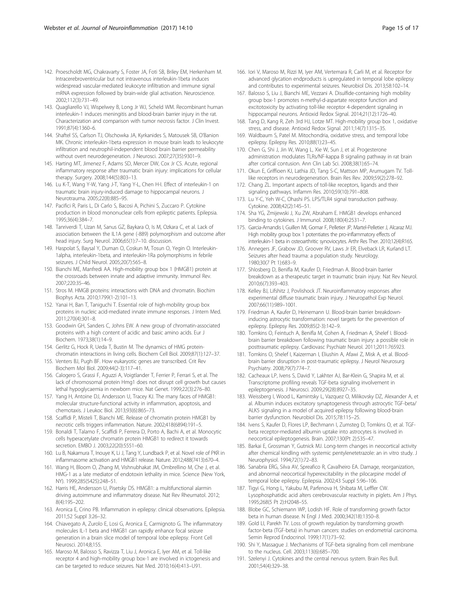- <span id="page-14-0"></span>142. Proescholdt MG, Chakravarty S, Foster JA, Foti SB, Briley EM, Herkenham M. Intracerebroventricular but not intravenous interleukin-1beta induces widespread vascular-mediated leukocyte infiltration and immune signal mRNA expression followed by brain-wide glial activation. Neuroscience. 2002;112(3):731–49.
- 143. Quagliarello VJ, Wispelwey B, Long Jr WJ, Scheld WM. Recombinant human interleukin-1 induces meningitis and blood-brain barrier injury in the rat. Characterization and comparison with tumor necrosis factor. J Clin Invest. 1991;87(4):1360–6.
- 144. Shaftel SS, Carlson TJ, Olschowka JA, Kyrkanides S, Matousek SB, O'Banion MK. Chronic interleukin-1beta expression in mouse brain leads to leukocyte infiltration and neutrophil-independent blood brain barrier permeability without overt neurodegeneration. J Neurosci. 2007;27(35):9301–9.
- 145. Harting MT, Jimenez F, Adams SD, Mercer DW, Cox Jr CS. Acute, regional inflammatory response after traumatic brain injury: implications for cellular therapy. Surgery. 2008;144(5):803–13.
- 146. Lu K-T, Wang Y-W, Yang J-T, Yang Y-L, Chen H-I. Effect of interleukin-1 on traumatic brain injury-induced damage to hippocampal neurons. J Neurotrauma. 2005;22(8):885–95.
- 147. Pacifici R, Paris L, Di Carlo S, Bacosi A, Pichini S, Zuccaro P. Cytokine production in blood mononuclear cells from epileptic patients. Epilepsia. 1995;36(4):384–7.
- 148. Tanriverdi T, Uzan M, Sanus GZ, Baykara O, Is M, Ozkara C, et al. Lack of association between the IL1A gene (-889) polymorphism and outcome after head injury. Surg Neurol. 2006;65(1):7–10. discussion.
- 149. Haspolat S, Baysal Y, Duman O, Coskun M, Tosun O, Yegin O. Interleukin-1alpha, interleukin-1beta, and interleukin-1Ra polymorphisms in febrile seizures. J Child Neurol. 2005;20(7):565–8.
- 150. Bianchi ME, Manfredi AA. High-mobility group box 1 (HMGB1) protein at the crossroads between innate and adaptive immunity. Immunol Rev. 2007;220:35–46.
- 151. Stros M. HMGB proteins: interactions with DNA and chromatin. Biochim Biophys Acta. 2010;1799(1-2):101–13.
- 152. Yanai H, Ban T, Taniguchi T. Essential role of high-mobility group box proteins in nucleic acid-mediated innate immune responses. J Intern Med. 2011;270(4):301–8.
- 153. Goodwin GH, Sanders C, Johns EW. A new group of chromatin-associated proteins with a high content of acidic and basic amino acids. Eur J Biochem. 1973;38(1):14–9.
- 154. Gerlitz G, Hock R, Ueda T, Bustin M. The dynamics of HMG proteinchromatin interactions in living cells. Biochem Cell Biol. 2009;87(1):127–37.
- 155. Venters BJ, Pugh BF. How eukaryotic genes are transcribed. Crit Rev Biochem Mol Biol. 2009;44(2-3):117–41.
- 156. Calogero S, Grassi F, Aguzzi A, Voigtlander T, Ferrier P, Ferrari S, et al. The lack of chromosomal protein Hmg1 does not disrupt cell growth but causes lethal hypoglycaemia in newborn mice. Nat Genet. 1999;22(3):276–80.
- 157. Yang H, Antoine DJ, Andersson U, Tracey KJ. The many faces of HMGB1: molecular structure-functional activity in inflammation, apoptosis, and chemotaxis. J Leukoc Biol. 2013;93(6):865–73.
- 158. Scaffidi P, Misteli T, Bianchi ME. Release of chromatin protein HMGB1 by necrotic cells triggers inflammation. Nature. 2002;418(6894):191–5.
- 159. Bonaldi T, Talamo F, Scaffidi P, Ferrera D, Porto A, Bachi A, et al. Monocytic cells hyperacetylate chromatin protein HMGB1 to redirect it towards secretion. EMBO J. 2003;22(20):5551–60.
- 160. Lu B, Nakamura T, Inouye K, Li J, Tang Y, Lundback P, et al. Novel role of PKR in inflammasome activation and HMGB1 release. Nature. 2012;488(7413):670–4.
- 161. Wang H, Bloom O, Zhang M, Vishnubhakat JM, Ombrellino M, Che J, et al. HMG-1 as a late mediator of endotoxin lethality in mice. Science (New York, NY). 1999;285(5425):248–51.
- 162. Harris HE, Andersson U, Pisetsky DS. HMGB1: a multifunctional alarmin driving autoimmune and inflammatory disease. Nat Rev Rheumatol. 2012; 8(4):195–202.
- 163. Aronica E, Crino PB. Inflammation in epilepsy: clinical observations. Epilepsia. 2011;52 Suppl 3:26–32.
- 164. Chiavegato A, Zurolo E, Losi G, Aronica E, Carmignoto G. The inflammatory molecules IL-1 beta and HMGB1 can rapidly enhance focal seizure generation in a brain slice model of temporal lobe epilepsy. Front Cell Neurosci. 2014;8;155.
- 165. Maroso M, Balosso S, Ravizza T, Liu J, Aronica E, Iyer AM, et al. Toll-like receptor 4 and high-mobility group box-1 are involved in ictogenesis and can be targeted to reduce seizures. Nat Med. 2010;16(4):413–U91.
- 166. Iori V, Maroso M, Rizzi M, Iyer AM, Vertemara R, Carli M, et al. Receptor for advanced glycation endproducts is upregulated in temporal lobe epilepsy and contributes to experimental seizures. Neurobiol Dis. 2013;58:102–14.
- 167. Balosso S, Liu J, Bianchi ME, Vezzani A. Disulfide-containing high mobility group box-1 promotes n-methyl-d-aspartate receptor function and excitotoxicity by activating toll-like receptor 4-dependent signaling in hippocampal neurons. Antioxid Redox Signal. 2014;21(12):1726–40.
- 168. Tang D, Kang R, Zeh 3rd HJ, Lotze MT. High-mobility group box 1, oxidative stress, and disease. Antioxid Redox Signal. 2011;14(7):1315–35.
- 169. Waldbaum S, Patel M. Mitochondria, oxidative stress, and temporal lobe epilepsy. Epilepsy Res. 2010;88(1):23–45.
- 170. Chen G, Shi J, Jin W, Wang L, Xie W, Sun J, et al. Progesterone administration modulates TLRs/NF-kappa B signaling pathway in rat brain after cortical contusion. Ann Clin Lab Sci. 2008;38(1):65–74.
- 171. Okun E, Griffioen KJ, Lathia JD, Tang S-C, Mattson MP, Arumugam TV. Tolllike receptors in neurodegeneration. Brain Res Rev. 2009;59(2):278–92.
- 172. Chang ZL. Important aspects of toll-like receptors, ligands and their signaling pathways. Inflamm Res. 2010;59(10):791–808.
- 173. Lu Y-C, Yeh W-C, Ohashi PS. LPS/TLR4 signal transduction pathway. Cytokine. 2008;42(2):145–51.
- 174. Sha YG, Zmijewski J, Xu ZW, Abraham E. HMGB1 develops enhanced binding to cytokines. J Immunol. 2008;180(4):2531–7.
- 175. Garcia-Arnandis I, Guillen MI, Gomar F, Pelletier JP, Martel-Pelletier J, Alcaraz MJ. High mobility group box 1 potentiates the pro-inflammatory effects of interleukin-1 beta in osteoarthritic synoviocytes. Arthr Res Ther. 2010;12(4):R165.
- 176. Annegers JF, Grabow JD, Groover RV, Laws Jr ER, Elveback LR, Kurland LT. Seizures after head trauma: a population study. Neurology. 1980;30(7 Pt 1):683–9.
- 177. Shlosberg D, Benifla M, Kaufer D, Friedman A. Blood-brain barrier breakdown as a therapeutic target in traumatic brain injury. Nat Rev Neurol. 2010;6(7):393–403.
- 178. Kelley BJ, Lifshitz J, Povlishock JT. Neuroinflammatory responses after experimental diffuse traumatic brain injury. J Neuropathol Exp Neurol. 2007;66(11):989–1001.
- 179. Friedman A, Kaufer D, Heinemann U. Blood-brain barrier breakdowninducing astrocytic transformation: novel targets for the prevention of epilepsy. Epilepsy Res. 2009;85(2-3):142–9.
- 180. Tomkins O, Feintuch A, Benifla M, Cohen A, Friedman A, Shelef I. Bloodbrain barrier breakdown following traumatic brain injury: a possible role in posttraumatic epilepsy. Cardiovasc Psychiatr Neurol. 2011;2011:765923.
- 181. Tomkins O, Shelef I, Kaizerman I, Eliushin A, Afawi Z, Misk A, et al. Bloodbrain barrier disruption in post-traumatic epilepsy. J Neurol Neurosurg Psychiatry. 2008;79(7):774–7.
- 182. Cacheaux LP, Ivens S, David Y, Lakhter AJ, Bar-Klein G, Shapira M, et al. Transcriptome profiling reveals TGF-beta signaling involvement in epileptogenesis. J Neurosci. 2009;29(28):8927–35.
- 183. Weissberg I, Wood L, Kamintsky L, Vazquez O, Milikovsky DZ, Alexander A, et al. Albumin induces excitatory synaptogenesis through astrocytic TGF-beta/ ALK5 signaling in a model of acquired epilepsy following blood-brain barrier dysfunction. Neurobiol Dis. 2015;78:115–25.
- 184. Ivens S, Kaufer D, Flores LP, Bechmann I, Zumsteg D, Tomkins O, et al. TGFbeta receptor-mediated albumin uptake into astrocytes is involved in neocortical epileptogenesis. Brain. 2007;130(Pt 2):535–47.
- 185. Barkai E, Grossman Y, Gutnick MJ. Long-term changes in neocortical activity after chemical kindling with systemic pentylenetetrazole: an in vitro study. J Neurophysiol. 1994;72(1):72–83.
- 186. Sanabria ERG, Silva AV, Spreafico R, Cavalheiro EA. Damage, reorganization, and abnormal neocortical hyperexcitability in the pilocarpine model of temporal lobe epilepsy. Epilepsia. 2002;43 Suppl 5:96–106.
- 187. Tigyi G, Hong L, Yakubu M, Parfenova H, Shibata M, Leffler CW. Lysophosphatidic acid alters cerebrovascular reactivity in piglets. Am J Phys. 1995;268(5 Pt 2):H2048–55.
- 188. Blobe GC, Schiemann WP, Lodish HF. Role of transforming growth factor beta in human disease. N Engl J Med. 2000;342(18):1350–8.
- 189. Gold LI, Parekh TV. Loss of growth regulation by transforming growth factor-beta (TGF-beta) in human cancers: studies on endometrial carcinoma. Semin Reprod Endocrinol. 1999;17(1):73–92.
- 190. Shi Y, Massague J. Mechanisms of TGF-beta signaling from cell membrane to the nucleus. Cell. 2003;113(6):685–700.
- 191. Szelenyi J. Cytokines and the central nervous system. Brain Res Bull. 2001;54(4):329–38.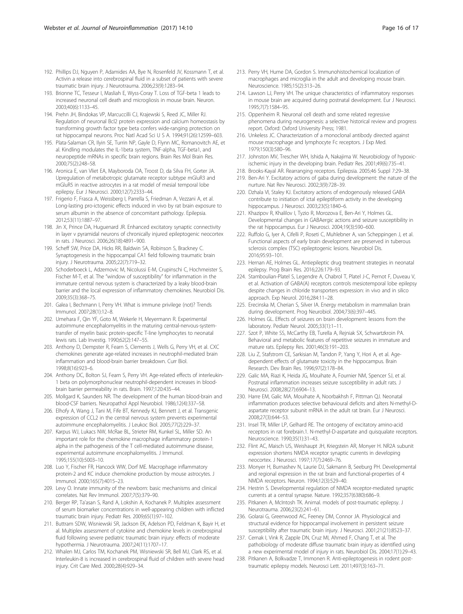- <span id="page-15-0"></span>192. Phillips DJ, Nguyen P, Adamides AA, Bye N, Rosenfeld JV, Kossmann T, et al. Activin a release into cerebrospinal fluid in a subset of patients with severe traumatic brain injury. J Neurotrauma. 2006;23(9):1283–94.
- 193. Brionne TC, Tesseur I, Masliah E, Wyss-Coray T. Loss of TGF-beta 1 leads to increased neuronal cell death and microgliosis in mouse brain. Neuron. 2003;40(6):1133–45.
- 194. Prehn JH, Bindokas VP, Marcuccilli CJ, Krajewski S, Reed JC, Miller RJ. Regulation of neuronal Bcl2 protein expression and calcium homeostasis by transforming growth factor type beta confers wide-ranging protection on rat hippocampal neurons. Proc Natl Acad Sci U S A. 1994;91(26):12599–603.
- 195. Plata-Salaman CR, Ilyin SE, Turrin NP, Gayle D, Flynn MC, Romanovitch AE, et al. Kindling modulates the IL-1beta system, TNF-alpha, TGF-beta1, and neuropeptide mRNAs in specific brain regions. Brain Res Mol Brain Res. 2000;75(2):248–58.
- 196. Aronica E, van Vliet EA, Mayboroda OA, Troost D, da Silva FH, Gorter JA. Upregulation of metabotropic glutamate receptor subtype mGluR3 and mGluR5 in reactive astrocytes in a rat model of mesial temporal lobe epilepsy. Eur J Neurosci. 2000;12(7):2333–44.
- 197. Frigerio F, Frasca A, Weissberg I, Parrella S, Friedman A, Vezzani A, et al. Long-lasting pro-ictogenic effects induced in vivo by rat brain exposure to serum albumin in the absence of concomitant pathology. Epilepsia. 2012;53(11):1887–97.
- 198. Jin X, Prince DA, Huguenard JR. Enhanced excitatory synaptic connectivity in layer v pyramidal neurons of chronically injured epileptogenic neocortex in rats. J Neurosci. 2006;26(18):4891–900.
- 199. Scheff SW, Price DA, Hicks RR, Baldwin SA, Robinson S, Brackney C. Synaptogenesis in the hippocampal CA1 field following traumatic brain injury. J Neurotrauma. 2005;22(7):719–32.
- 200. Schoderboeck L, Adzemovic M, Nicolussi E-M, Crupinschi C, Hochmeister S, Fischer M-T, et al. The "window of susceptibility" for inflammation in the immature central nervous system is characterized by a leaky blood-brain barrier and the local expression of inflammatory chemokines. Neurobiol Dis. 2009;35(3):368–75.
- 201. Galea I, Bechmann I, Perry VH. What is immune privilege (not)? Trends Immunol. 2007;28(1):12–8.
- 202. Umehara F, Qin YF, Goto M, Wekerle H, Meyermann R. Experimental autoimmune encephalomyelitis in the maturing central-nervous-systemtransfer of myelin basic protein-specific T-line lymphocytes to neonatal lewis rats. Lab Investig. 1990;62(2):147–55.
- 203. Anthony D, Dempster R, Fearn S, Clements J, Wells G, Perry VH, et al. CXC chemokines generate age-related increases in neutrophil-mediated brain inflammation and blood-brain barrier breakdown. Curr Biol. 1998;8(16):923–6.
- 204. Anthony DC, Bolton SJ, Fearn S, Perry VH. Age-related effects of interleukin-1 beta on polymorphonuclear neutrophil-dependent increases in bloodbrain barrier permeability in rats. Brain. 1997;120:435–44.
- 205. Mollgard K, Saunders NR. The development of the human blood-brain and blood-CSF barriers. Neuropathol Appl Neurobiol. 1986;12(4):337–58.
- 206. Elhofy A, Wang J, Tani M, Fife BT, Kennedy KJ, Bennett J, et al. Transgenic expression of CCL2 in the central nervous system prevents experimental autoimmune encephalomyelitis. J Leukoc Biol. 2005;77(2):229–37.
- 207. Karpus WJ, Lukacs NW, McRae BL, Strieter RM, Kunkel SL, Miller SD. An important role for the chemokine macrophage inflammatory protein-1 alpha in the pathogenesis of the T cell-mediated autoimmune disease, experimental autoimmune encephalomyelitis. J Immunol. 1995;155(10):5003–10.
- 208. Luo Y, Fischer FR, Hancock WW, Dorf ME. Macrophage inflammatory protein-2 and KC induce chemokine production by mouse astrocytes. J Immunol. 2000;165(7):4015–23.
- 209. Levy O. Innate immunity of the newborn: basic mechanisms and clinical correlates. Nat Rev Immunol. 2007;7(5):379–90.
- 210. Berger RP, Ta'asan S, Rand A, Lokshin A, Kochanek P. Multiplex assessment of serum biomarker concentrations in well-appearing children with inflicted traumatic brain injury. Pediatr Res. 2009;65(1):97–102.
- 211. Buttram SDW, Wisniewski SR, Jackson EK, Adelson PD, Feldman K, Bayir H, et al. Multiplex assessment of cytokine and chemokine levels in cerebrospinal fluid following severe pediatric traumatic brain injury: effects of moderate hypothermia. J Neurotrauma. 2007;24(11):1707–17.
- 212. Whalen MJ, Carlos TM, Kochanek PM, Wisniewski SR, Bell MJ, Clark RS, et al. Interleukin-8 is increased in cerebrospinal fluid of children with severe head injury. Crit Care Med. 2000;28(4):929–34.
- 213. Perry VH, Hume DA, Gordon S. Immunohistochemical localization of macrophages and microglia in the adult and developing mouse brain. Neuroscience. 1985;15(2):313–26.
- 214. Lawson LJ, Perry VH. The unique characteristics of inflammatory responses in mouse brain are acquired during postnatal development. Eur J Neurosci. 1995;7(7):1584–95.
- 215. Oppenheim R. Neuronal cell death and some related regressive phenomena during neurogenesis: a selective historical review and progress report. Oxford: Oxford University Press; 1981.
- 216. Unkeless JC. Characterization of a monoclonal antibody directed against mouse macrophage and lymphocyte Fc receptors. J Exp Med. 1979;150(3):580–96.
- 217. Johnston MV, Trescher WH, Ishida A, Nakajima W. Neurobiology of hypoxicischemic injury in the developing brain. Pediatr Res. 2001;49(6):735–41.
- 218. Brooks-Kayal AR. Rearranging receptors. Epilepsia. 2005;46 Suppl 7:29–38.
- 219. Ben-Ari Y. Excitatory actions of gaba during development: the nature of the nurture. Nat Rev Neurosci. 2002;3(9):728–39.
- 220. Dzhala VI, Staley KJ. Excitatory actions of endogenously released GABA contribute to initiation of ictal epileptiform activity in the developing hippocampus. J Neurosci. 2003;23(5):1840–6.
- 221. Khazipov R, Khalilov I, Tyzio R, Morozova E, Ben-Ari Y, Holmes GL. Developmental changes in GABAergic actions and seizure susceptibility in the rat hippocampus. Eur J Neurosci. 2004;19(3):590–600.
- 222. Ruffolo G, Iyer A, Cifelli P, Roseti C, Muhlebner A, van Scheppingen J, et al. Functional aspects of early brain development are preserved in tuberous sclerosis complex (TSC) epileptogenic lesions. Neurobiol Dis. 2016;95:93–101.
- 223. Hernan AE, Holmes GL. Antiepileptic drug treatment strategies in neonatal epilepsy. Prog Brain Res. 2016;226:179–93.
- 224. Stamboulian-Platel S, Legendre A, Chabrol T, Platel J-C, Pernot F, Duveau V, et al. Activation of GABA(A) receptors controls mesiotemporal lobe epilepsy despite changes in chloride transporters expression: in vivo and in silico approach. Exp Neurol. 2016;284:11–28.
- 225. Erecinska M, Cherian S, Silver IA. Energy metabolism in mammalian brain during development. Prog Neurobiol. 2004;73(6):397–445.
- 226. Holmes GL. Effects of seizures on brain development: lessons from the laboratory. Pediatr Neurol. 2005;33(1):1–11.
- 227. Szot P, White SS, McCarthy EB, Turella A, Rejniak SX, Schwartzkroin PA. Behavioral and metabolic features of repetitive seizures in immature and mature rats. Epilepsy Res. 2001;46(3):191–203.
- 228. Liu Z, Stafstrom CE, Sarkisian M, Tandon P, Yang Y, Hori A, et al. Agedependent effects of glutamate toxicity in the hippocampus. Brain Research. Dev Brain Res. 1996;97(2):178–84.
- 229. Galic MA, Riazi K, Heida JG, Mouihate A, Fournier NM, Spencer SJ, et al. Postnatal inflammation increases seizure susceptibility in adult rats. J Neurosci. 2008;28(27):6904–13.
- 230. Harre EM, Galic MA, Mouihate A, Noorbakhsh F, Pittman QJ. Neonatal inflammation produces selective behavioural deficits and alters N-methyl-Daspartate receptor subunit mRNA in the adult rat brain. Eur J Neurosci. 2008;27(3):644–53.
- 231. Insel TR, Miller LP, Gelhard RE. The ontogeny of excitatory amino-acid receptors in rat forebrain.1. N-methyl-D-aspartate and quisqualate receptors. Neuroscience. 1990;35(1):31–43.
- 232. Flint AC, Maisch US, Weishaupt JH, Kriegstein AR, Monyer H. NR2A subunit expression shortens NMDA receptor synaptic currents in developing neocortex. J Neurosci. 1997;17(7):2469–76.
- 233. Monyer H, Burnashev N, Laurie DJ, Sakmann B, Seeburg PH. Developmental and regional expression in the rat brain and functional-properties of 4 NMDA receptors. Neuron. 1994;12(3):529–40.
- 234. Hestrin S. Developmental regulation of NMDA receptor-mediated synaptic currents at a central synapse. Nature. 1992;357(6380):686–9.
- 235. Pitkanen A, McIntosh TK. Animal. models of post-traumatic epilepsy. J Neurotrauma. 2006;23(2):241–61.
- 236. Golarai G, Greenwood AC, Feeney DM, Connor JA. Physiological and structural evidence for hippocampal involvement in persistent seizure susceptibility after traumatic brain injury. J Neurosci. 2001;21(21):8523–37.
- 237. Cernak I, Vink R, Zapple DN, Cruz MI, Ahmed F, Chang T, et al. The pathobiology of moderate diffuse traumatic brain injury as identified using a new experimental model of injury in rats. Neurobiol Dis. 2004;17(1):29–43.
- 238. Pitkanen A, Bolkvadze T, Immonen R. Anti-epileptogenesis in rodent posttraumatic epilepsy models. Neurosci Lett. 2011;497(3):163–71.